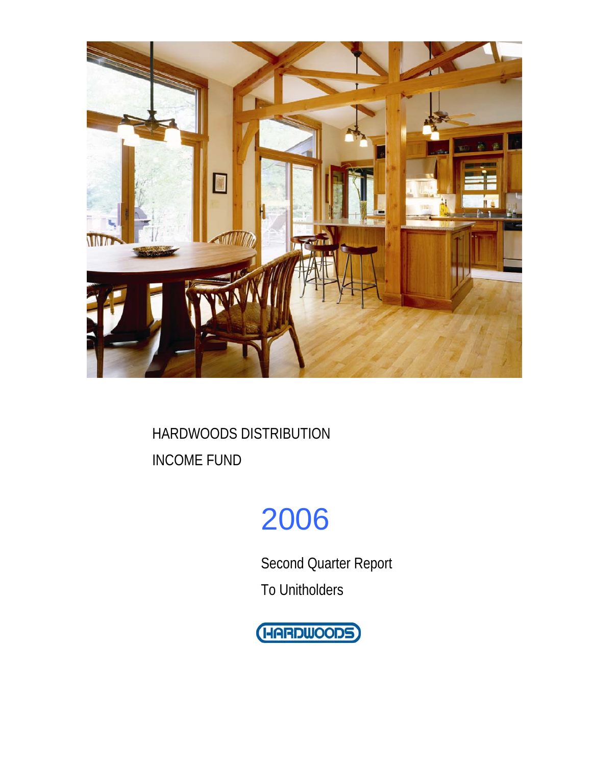

# 2006

Second Quarter Report

To Unitholders

**HARDWOODS**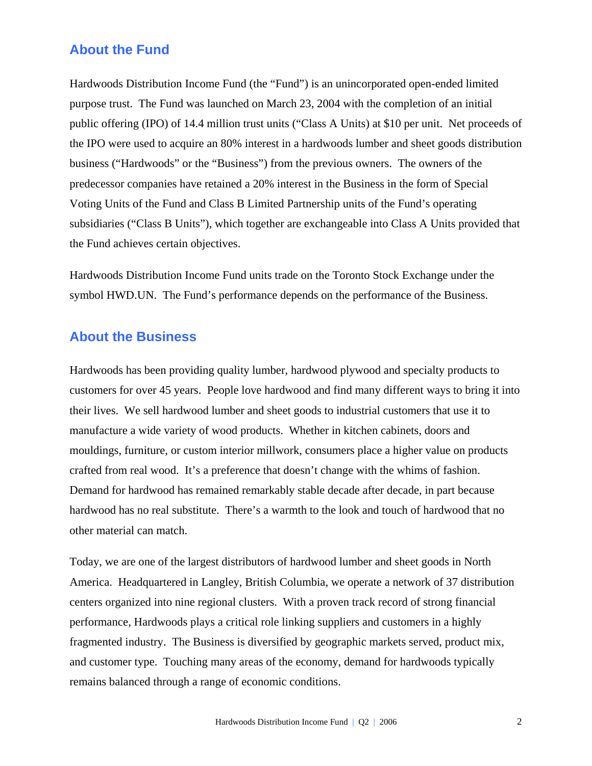### **About the Fund**

Hardwoods Distribution Income Fund (the "Fund") is an unincorporated open-ended limited purpose trust. The Fund was launched on March 23, 2004 with the completion of an initial public offering (IPO) of 14.4 million trust units ("Class A Units) at \$10 per unit. Net proceeds of the IPO were used to acquire an 80% interest in a hardwoods lumber and sheet goods distribution business ("Hardwoods" or the "Business") from the previous owners. The owners of the predecessor companies have retained a 20% interest in the Business in the form of Special Voting Units of the Fund and Class B Limited Partnership units of the Fund's operating subsidiaries ("Class B Units"), which together are exchangeable into Class A Units provided that the Fund achieves certain objectives.

Hardwoods Distribution Income Fund units trade on the Toronto Stock Exchange under the symbol HWD.UN. The Fund's performance depends on the performance of the Business.

#### **About the Business**

Hardwoods has been providing quality lumber, hardwood plywood and specialty products to customers for over 45 years. People love hardwood and find many different ways to bring it into their lives. We sell hardwood lumber and sheet goods to industrial customers that use it to manufacture a wide variety of wood products. Whether in kitchen cabinets, doors and mouldings, furniture, or custom interior millwork, consumers place a higher value on products crafted from real wood. It's a preference that doesn't change with the whims of fashion. Demand for hardwood has remained remarkably stable decade after decade, in part because hardwood has no real substitute. There's a warmth to the look and touch of hardwood that no other material can match.

Today, we are one of the largest distributors of hardwood lumber and sheet goods in North America. Headquartered in Langley, British Columbia, we operate a network of 37 distribution centers organized into nine regional clusters. With a proven track record of strong financial performance, Hardwoods plays a critical role linking suppliers and customers in a highly fragmented industry. The Business is diversified by geographic markets served, product mix, and customer type. Touching many areas of the economy, demand for hardwoods typically remains balanced through a range of economic conditions.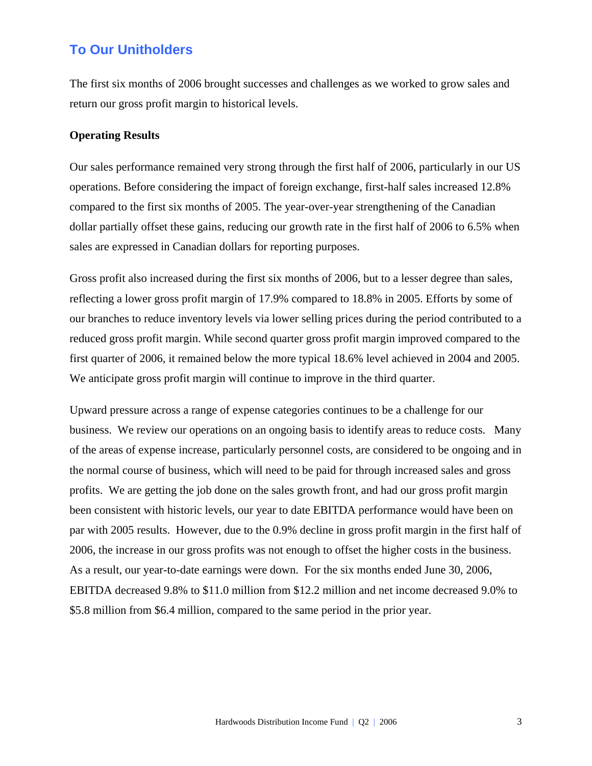### **To Our Unitholders**

The first six months of 2006 brought successes and challenges as we worked to grow sales and return our gross profit margin to historical levels.

#### **Operating Results**

Our sales performance remained very strong through the first half of 2006, particularly in our US operations. Before considering the impact of foreign exchange, first-half sales increased 12.8% compared to the first six months of 2005. The year-over-year strengthening of the Canadian dollar partially offset these gains, reducing our growth rate in the first half of 2006 to 6.5% when sales are expressed in Canadian dollars for reporting purposes.

Gross profit also increased during the first six months of 2006, but to a lesser degree than sales, reflecting a lower gross profit margin of 17.9% compared to 18.8% in 2005. Efforts by some of our branches to reduce inventory levels via lower selling prices during the period contributed to a reduced gross profit margin. While second quarter gross profit margin improved compared to the first quarter of 2006, it remained below the more typical 18.6% level achieved in 2004 and 2005. We anticipate gross profit margin will continue to improve in the third quarter.

Upward pressure across a range of expense categories continues to be a challenge for our business. We review our operations on an ongoing basis to identify areas to reduce costs. Many of the areas of expense increase, particularly personnel costs, are considered to be ongoing and in the normal course of business, which will need to be paid for through increased sales and gross profits. We are getting the job done on the sales growth front, and had our gross profit margin been consistent with historic levels, our year to date EBITDA performance would have been on par with 2005 results. However, due to the 0.9% decline in gross profit margin in the first half of 2006, the increase in our gross profits was not enough to offset the higher costs in the business. As a result, our year-to-date earnings were down. For the six months ended June 30, 2006, EBITDA decreased 9.8% to \$11.0 million from \$12.2 million and net income decreased 9.0% to \$5.8 million from \$6.4 million, compared to the same period in the prior year.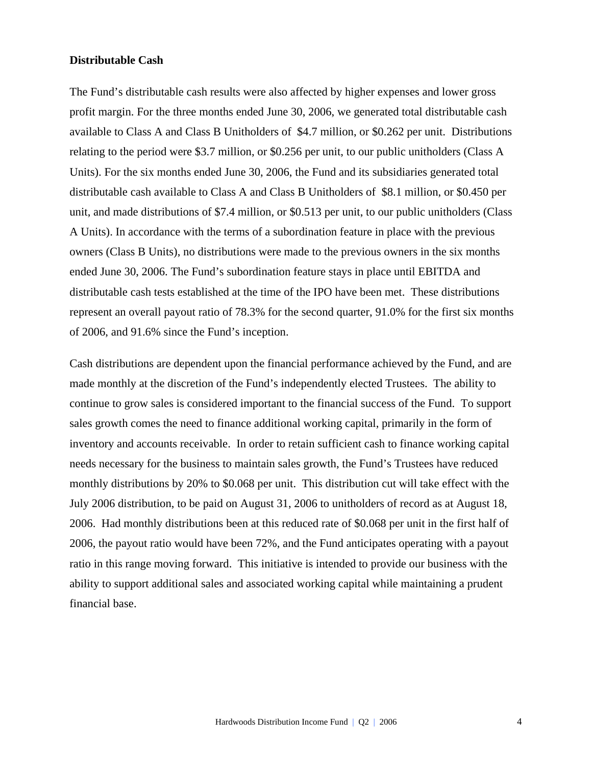#### **Distributable Cash**

The Fund's distributable cash results were also affected by higher expenses and lower gross profit margin. For the three months ended June 30, 2006, we generated total distributable cash available to Class A and Class B Unitholders of \$4.7 million, or \$0.262 per unit. Distributions relating to the period were \$3.7 million, or \$0.256 per unit, to our public unitholders (Class A Units). For the six months ended June 30, 2006, the Fund and its subsidiaries generated total distributable cash available to Class A and Class B Unitholders of \$8.1 million, or \$0.450 per unit, and made distributions of \$7.4 million, or \$0.513 per unit, to our public unitholders (Class A Units). In accordance with the terms of a subordination feature in place with the previous owners (Class B Units), no distributions were made to the previous owners in the six months ended June 30, 2006. The Fund's subordination feature stays in place until EBITDA and distributable cash tests established at the time of the IPO have been met. These distributions represent an overall payout ratio of 78.3% for the second quarter, 91.0% for the first six months of 2006, and 91.6% since the Fund's inception.

Cash distributions are dependent upon the financial performance achieved by the Fund, and are made monthly at the discretion of the Fund's independently elected Trustees. The ability to continue to grow sales is considered important to the financial success of the Fund. To support sales growth comes the need to finance additional working capital, primarily in the form of inventory and accounts receivable. In order to retain sufficient cash to finance working capital needs necessary for the business to maintain sales growth, the Fund's Trustees have reduced monthly distributions by 20% to \$0.068 per unit. This distribution cut will take effect with the July 2006 distribution, to be paid on August 31, 2006 to unitholders of record as at August 18, 2006. Had monthly distributions been at this reduced rate of \$0.068 per unit in the first half of 2006, the payout ratio would have been 72%, and the Fund anticipates operating with a payout ratio in this range moving forward. This initiative is intended to provide our business with the ability to support additional sales and associated working capital while maintaining a prudent financial base.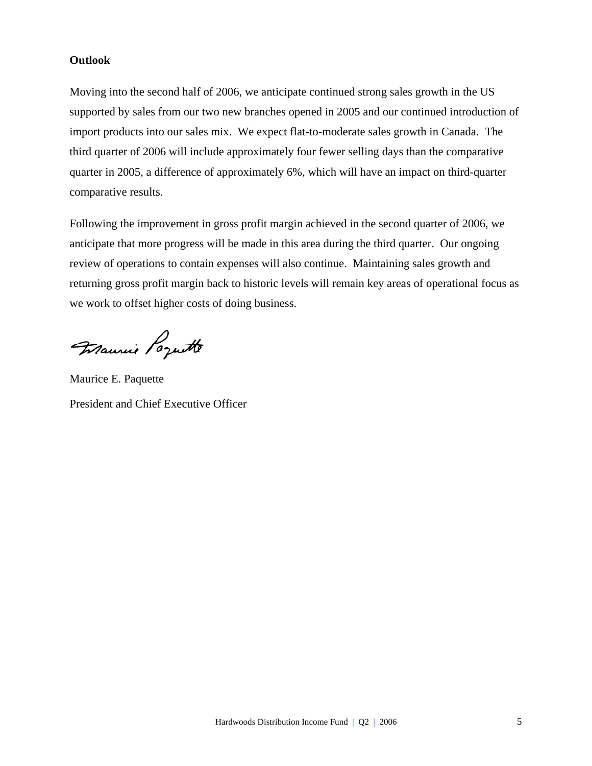#### **Outlook**

Moving into the second half of 2006, we anticipate continued strong sales growth in the US supported by sales from our two new branches opened in 2005 and our continued introduction of import products into our sales mix. We expect flat-to-moderate sales growth in Canada. The third quarter of 2006 will include approximately four fewer selling days than the comparative quarter in 2005, a difference of approximately 6%, which will have an impact on third-quarter comparative results.

Following the improvement in gross profit margin achieved in the second quarter of 2006, we anticipate that more progress will be made in this area during the third quarter. Our ongoing review of operations to contain expenses will also continue. Maintaining sales growth and returning gross profit margin back to historic levels will remain key areas of operational focus as we work to offset higher costs of doing business.

Maurie Poquette

Maurice E. Paquette President and Chief Executive Officer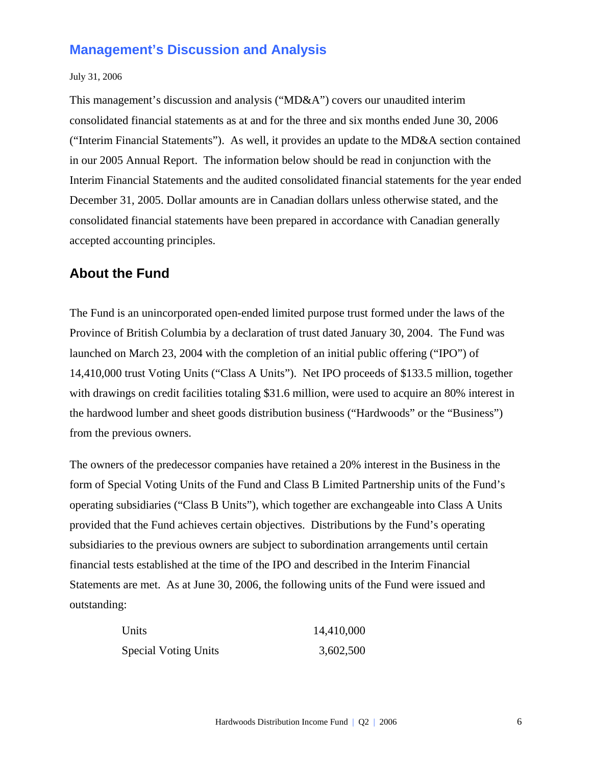### **Management's Discussion and Analysis**

#### July 31, 2006

This management's discussion and analysis ("MD&A") covers our unaudited interim consolidated financial statements as at and for the three and six months ended June 30, 2006 ("Interim Financial Statements"). As well, it provides an update to the MD&A section contained in our 2005 Annual Report. The information below should be read in conjunction with the Interim Financial Statements and the audited consolidated financial statements for the year ended December 31, 2005. Dollar amounts are in Canadian dollars unless otherwise stated, and the consolidated financial statements have been prepared in accordance with Canadian generally accepted accounting principles.

### **About the Fund**

The Fund is an unincorporated open-ended limited purpose trust formed under the laws of the Province of British Columbia by a declaration of trust dated January 30, 2004. The Fund was launched on March 23, 2004 with the completion of an initial public offering ("IPO") of 14,410,000 trust Voting Units ("Class A Units"). Net IPO proceeds of \$133.5 million, together with drawings on credit facilities totaling \$31.6 million, were used to acquire an 80% interest in the hardwood lumber and sheet goods distribution business ("Hardwoods" or the "Business") from the previous owners.

The owners of the predecessor companies have retained a 20% interest in the Business in the form of Special Voting Units of the Fund and Class B Limited Partnership units of the Fund's operating subsidiaries ("Class B Units"), which together are exchangeable into Class A Units provided that the Fund achieves certain objectives. Distributions by the Fund's operating subsidiaries to the previous owners are subject to subordination arrangements until certain financial tests established at the time of the IPO and described in the Interim Financial Statements are met. As at June 30, 2006, the following units of the Fund were issued and outstanding:

| Units                       | 14,410,000 |
|-----------------------------|------------|
| <b>Special Voting Units</b> | 3,602,500  |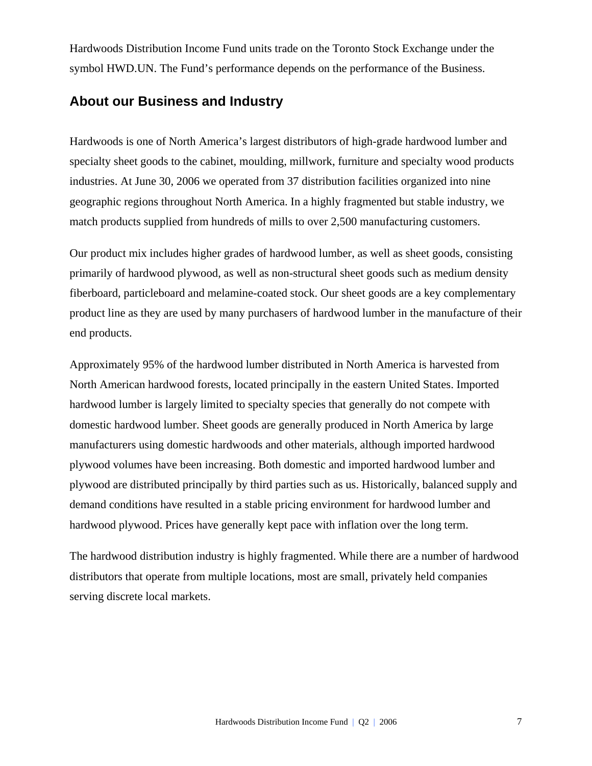Hardwoods Distribution Income Fund units trade on the Toronto Stock Exchange under the symbol HWD.UN. The Fund's performance depends on the performance of the Business.

#### **About our Business and Industry**

Hardwoods is one of North America's largest distributors of high-grade hardwood lumber and specialty sheet goods to the cabinet, moulding, millwork, furniture and specialty wood products industries. At June 30, 2006 we operated from 37 distribution facilities organized into nine geographic regions throughout North America. In a highly fragmented but stable industry, we match products supplied from hundreds of mills to over 2,500 manufacturing customers.

Our product mix includes higher grades of hardwood lumber, as well as sheet goods, consisting primarily of hardwood plywood, as well as non-structural sheet goods such as medium density fiberboard, particleboard and melamine-coated stock. Our sheet goods are a key complementary product line as they are used by many purchasers of hardwood lumber in the manufacture of their end products.

Approximately 95% of the hardwood lumber distributed in North America is harvested from North American hardwood forests, located principally in the eastern United States. Imported hardwood lumber is largely limited to specialty species that generally do not compete with domestic hardwood lumber. Sheet goods are generally produced in North America by large manufacturers using domestic hardwoods and other materials, although imported hardwood plywood volumes have been increasing. Both domestic and imported hardwood lumber and plywood are distributed principally by third parties such as us. Historically, balanced supply and demand conditions have resulted in a stable pricing environment for hardwood lumber and hardwood plywood. Prices have generally kept pace with inflation over the long term.

The hardwood distribution industry is highly fragmented. While there are a number of hardwood distributors that operate from multiple locations, most are small, privately held companies serving discrete local markets.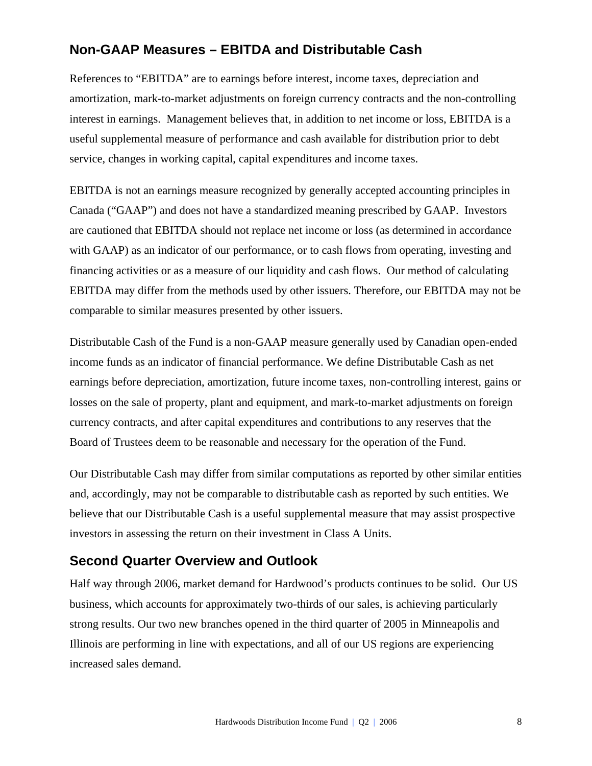### **Non-GAAP Measures – EBITDA and Distributable Cash**

References to "EBITDA" are to earnings before interest, income taxes, depreciation and amortization, mark-to-market adjustments on foreign currency contracts and the non-controlling interest in earnings. Management believes that, in addition to net income or loss, EBITDA is a useful supplemental measure of performance and cash available for distribution prior to debt service, changes in working capital, capital expenditures and income taxes.

EBITDA is not an earnings measure recognized by generally accepted accounting principles in Canada ("GAAP") and does not have a standardized meaning prescribed by GAAP. Investors are cautioned that EBITDA should not replace net income or loss (as determined in accordance with GAAP) as an indicator of our performance, or to cash flows from operating, investing and financing activities or as a measure of our liquidity and cash flows. Our method of calculating EBITDA may differ from the methods used by other issuers. Therefore, our EBITDA may not be comparable to similar measures presented by other issuers.

Distributable Cash of the Fund is a non-GAAP measure generally used by Canadian open-ended income funds as an indicator of financial performance. We define Distributable Cash as net earnings before depreciation, amortization, future income taxes, non-controlling interest, gains or losses on the sale of property, plant and equipment, and mark-to-market adjustments on foreign currency contracts, and after capital expenditures and contributions to any reserves that the Board of Trustees deem to be reasonable and necessary for the operation of the Fund.

Our Distributable Cash may differ from similar computations as reported by other similar entities and, accordingly, may not be comparable to distributable cash as reported by such entities. We believe that our Distributable Cash is a useful supplemental measure that may assist prospective investors in assessing the return on their investment in Class A Units.

#### **Second Quarter Overview and Outlook**

Half way through 2006, market demand for Hardwood's products continues to be solid. Our US business, which accounts for approximately two-thirds of our sales, is achieving particularly strong results. Our two new branches opened in the third quarter of 2005 in Minneapolis and Illinois are performing in line with expectations, and all of our US regions are experiencing increased sales demand.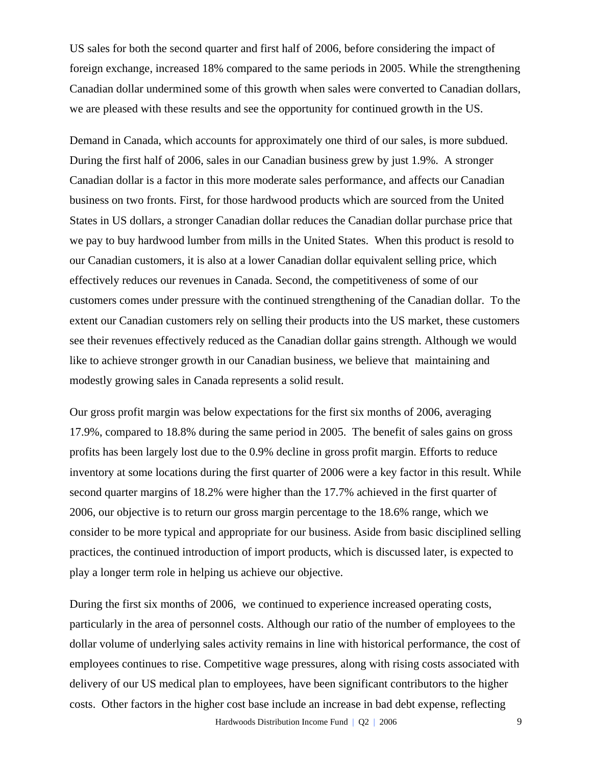US sales for both the second quarter and first half of 2006, before considering the impact of foreign exchange, increased 18% compared to the same periods in 2005. While the strengthening Canadian dollar undermined some of this growth when sales were converted to Canadian dollars, we are pleased with these results and see the opportunity for continued growth in the US.

Demand in Canada, which accounts for approximately one third of our sales, is more subdued. During the first half of 2006, sales in our Canadian business grew by just 1.9%. A stronger Canadian dollar is a factor in this more moderate sales performance, and affects our Canadian business on two fronts. First, for those hardwood products which are sourced from the United States in US dollars, a stronger Canadian dollar reduces the Canadian dollar purchase price that we pay to buy hardwood lumber from mills in the United States. When this product is resold to our Canadian customers, it is also at a lower Canadian dollar equivalent selling price, which effectively reduces our revenues in Canada. Second, the competitiveness of some of our customers comes under pressure with the continued strengthening of the Canadian dollar. To the extent our Canadian customers rely on selling their products into the US market, these customers see their revenues effectively reduced as the Canadian dollar gains strength. Although we would like to achieve stronger growth in our Canadian business, we believe that maintaining and modestly growing sales in Canada represents a solid result.

Our gross profit margin was below expectations for the first six months of 2006, averaging 17.9%, compared to 18.8% during the same period in 2005. The benefit of sales gains on gross profits has been largely lost due to the 0.9% decline in gross profit margin. Efforts to reduce inventory at some locations during the first quarter of 2006 were a key factor in this result. While second quarter margins of 18.2% were higher than the 17.7% achieved in the first quarter of 2006, our objective is to return our gross margin percentage to the 18.6% range, which we consider to be more typical and appropriate for our business. Aside from basic disciplined selling practices, the continued introduction of import products, which is discussed later, is expected to play a longer term role in helping us achieve our objective.

During the first six months of 2006, we continued to experience increased operating costs, particularly in the area of personnel costs. Although our ratio of the number of employees to the dollar volume of underlying sales activity remains in line with historical performance, the cost of employees continues to rise. Competitive wage pressures, along with rising costs associated with delivery of our US medical plan to employees, have been significant contributors to the higher costs. Other factors in the higher cost base include an increase in bad debt expense, reflecting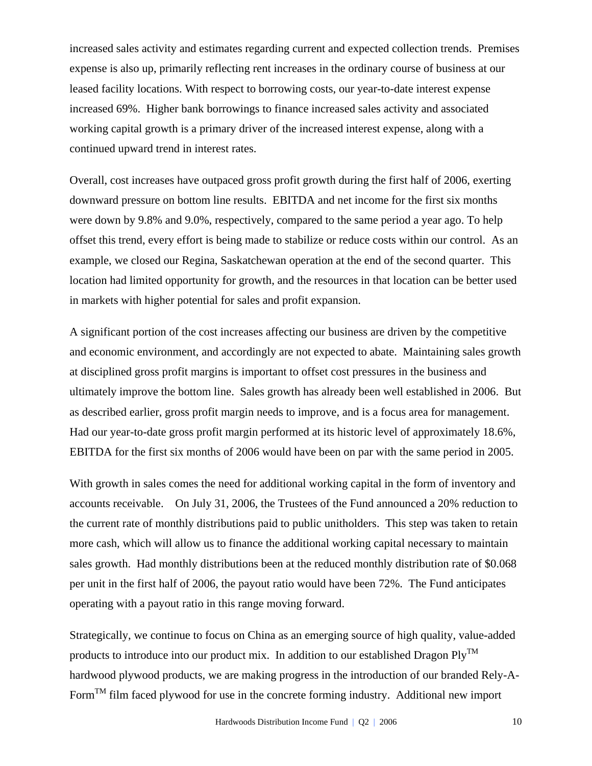increased sales activity and estimates regarding current and expected collection trends. Premises expense is also up, primarily reflecting rent increases in the ordinary course of business at our leased facility locations. With respect to borrowing costs, our year-to-date interest expense increased 69%. Higher bank borrowings to finance increased sales activity and associated working capital growth is a primary driver of the increased interest expense, along with a continued upward trend in interest rates.

Overall, cost increases have outpaced gross profit growth during the first half of 2006, exerting downward pressure on bottom line results. EBITDA and net income for the first six months were down by 9.8% and 9.0%, respectively, compared to the same period a year ago. To help offset this trend, every effort is being made to stabilize or reduce costs within our control. As an example, we closed our Regina, Saskatchewan operation at the end of the second quarter. This location had limited opportunity for growth, and the resources in that location can be better used in markets with higher potential for sales and profit expansion.

A significant portion of the cost increases affecting our business are driven by the competitive and economic environment, and accordingly are not expected to abate. Maintaining sales growth at disciplined gross profit margins is important to offset cost pressures in the business and ultimately improve the bottom line. Sales growth has already been well established in 2006. But as described earlier, gross profit margin needs to improve, and is a focus area for management. Had our year-to-date gross profit margin performed at its historic level of approximately 18.6%, EBITDA for the first six months of 2006 would have been on par with the same period in 2005.

With growth in sales comes the need for additional working capital in the form of inventory and accounts receivable. On July 31, 2006, the Trustees of the Fund announced a 20% reduction to the current rate of monthly distributions paid to public unitholders. This step was taken to retain more cash, which will allow us to finance the additional working capital necessary to maintain sales growth. Had monthly distributions been at the reduced monthly distribution rate of \$0.068 per unit in the first half of 2006, the payout ratio would have been 72%. The Fund anticipates operating with a payout ratio in this range moving forward.

Strategically, we continue to focus on China as an emerging source of high quality, value-added products to introduce into our product mix. In addition to our established Dragon  $\text{Ply}^{\text{TM}}$ hardwood plywood products, we are making progress in the introduction of our branded Rely-A-Form<sup>TM</sup> film faced plywood for use in the concrete forming industry. Additional new import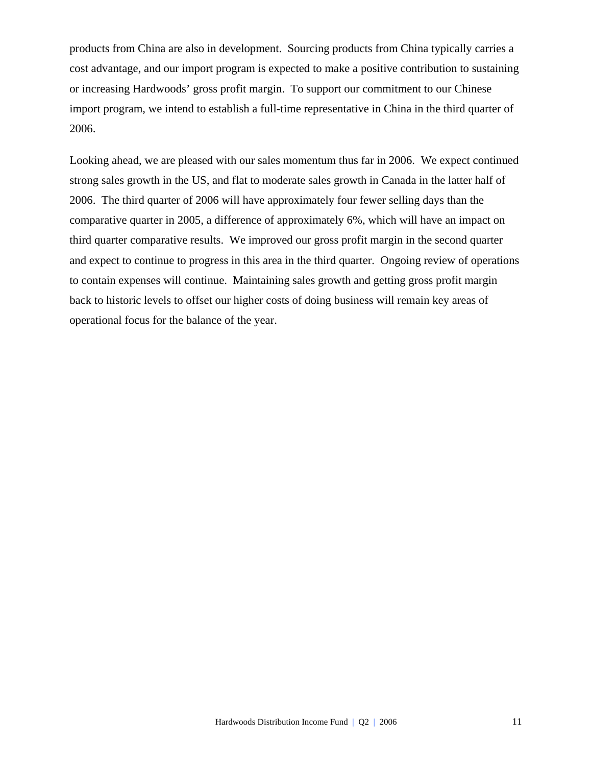products from China are also in development. Sourcing products from China typically carries a cost advantage, and our import program is expected to make a positive contribution to sustaining or increasing Hardwoods' gross profit margin. To support our commitment to our Chinese import program, we intend to establish a full-time representative in China in the third quarter of 2006.

Looking ahead, we are pleased with our sales momentum thus far in 2006. We expect continued strong sales growth in the US, and flat to moderate sales growth in Canada in the latter half of 2006. The third quarter of 2006 will have approximately four fewer selling days than the comparative quarter in 2005, a difference of approximately 6%, which will have an impact on third quarter comparative results. We improved our gross profit margin in the second quarter and expect to continue to progress in this area in the third quarter. Ongoing review of operations to contain expenses will continue. Maintaining sales growth and getting gross profit margin back to historic levels to offset our higher costs of doing business will remain key areas of operational focus for the balance of the year.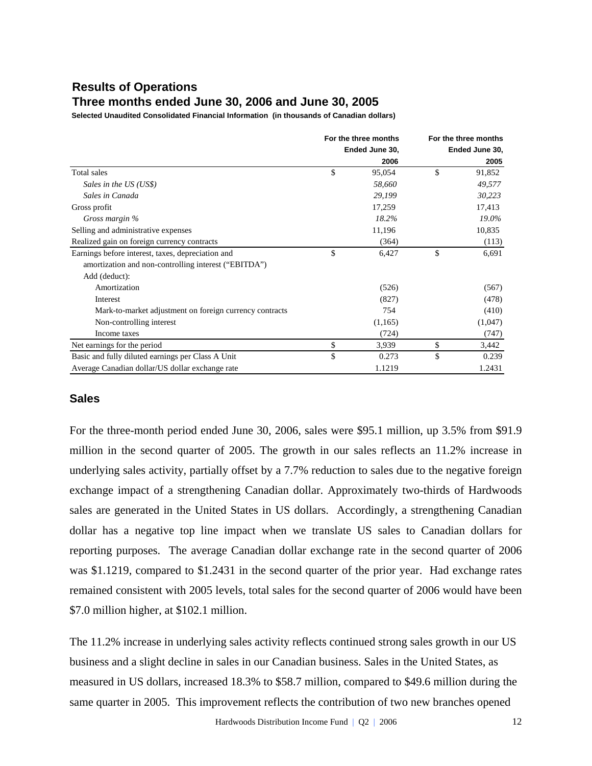#### **Results of Operations Three months ended June 30, 2006 and June 30, 2005**

**Selected Unaudited Consolidated Financial Information (in thousands of Canadian dollars)**

|                                                         | For the three months | For the three months |
|---------------------------------------------------------|----------------------|----------------------|
|                                                         | Ended June 30,       | Ended June 30,       |
|                                                         | 2006                 | 2005                 |
| Total sales                                             | \$<br>95,054         | \$<br>91,852         |
| Sales in the US (US\$)                                  | 58,660               | 49,577               |
| Sales in Canada                                         | 29,199               | 30,223               |
| Gross profit                                            | 17,259               | 17,413               |
| Gross margin %                                          | 18.2%                | 19.0%                |
| Selling and administrative expenses                     | 11,196               | 10,835               |
| Realized gain on foreign currency contracts             | (364)                | (113)                |
| Earnings before interest, taxes, depreciation and       | \$<br>6,427          | \$<br>6,691          |
| amortization and non-controlling interest ("EBITDA")    |                      |                      |
| Add (deduct):                                           |                      |                      |
| Amortization                                            | (526)                | (567)                |
| Interest                                                | (827)                | (478)                |
| Mark-to-market adjustment on foreign currency contracts | 754                  | (410)                |
| Non-controlling interest                                | (1,165)              | (1,047)              |
| Income taxes                                            | (724)                | (747)                |
| Net earnings for the period                             | \$<br>3,939          | \$<br>3,442          |
| Basic and fully diluted earnings per Class A Unit       | \$<br>0.273          | \$<br>0.239          |
| Average Canadian dollar/US dollar exchange rate         | 1.1219               | 1.2431               |

#### **Sales**

For the three-month period ended June 30, 2006, sales were \$95.1 million, up 3.5% from \$91.9 million in the second quarter of 2005. The growth in our sales reflects an 11.2% increase in underlying sales activity, partially offset by a 7.7% reduction to sales due to the negative foreign exchange impact of a strengthening Canadian dollar. Approximately two-thirds of Hardwoods sales are generated in the United States in US dollars. Accordingly, a strengthening Canadian dollar has a negative top line impact when we translate US sales to Canadian dollars for reporting purposes. The average Canadian dollar exchange rate in the second quarter of 2006 was \$1.1219, compared to \$1.2431 in the second quarter of the prior year. Had exchange rates remained consistent with 2005 levels, total sales for the second quarter of 2006 would have been \$7.0 million higher, at \$102.1 million.

The 11.2% increase in underlying sales activity reflects continued strong sales growth in our US business and a slight decline in sales in our Canadian business. Sales in the United States, as measured in US dollars, increased 18.3% to \$58.7 million, compared to \$49.6 million during the same quarter in 2005. This improvement reflects the contribution of two new branches opened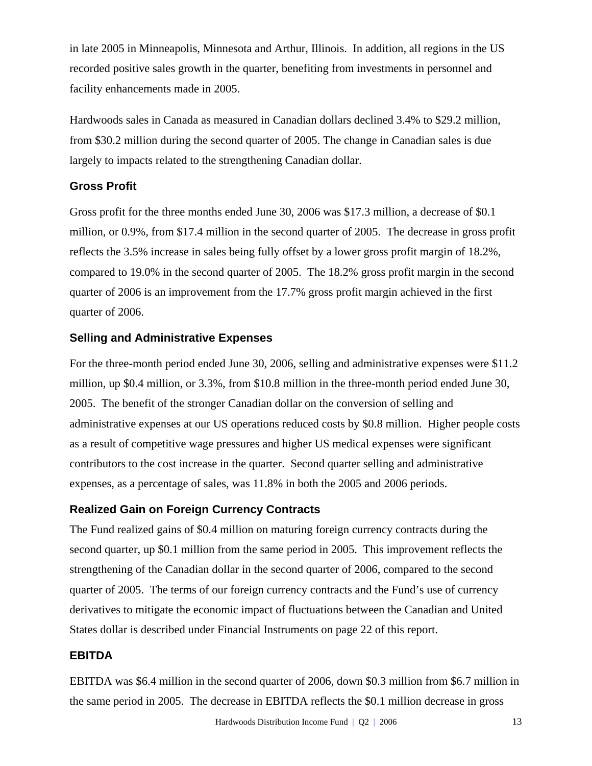in late 2005 in Minneapolis, Minnesota and Arthur, Illinois. In addition, all regions in the US recorded positive sales growth in the quarter, benefiting from investments in personnel and facility enhancements made in 2005.

Hardwoods sales in Canada as measured in Canadian dollars declined 3.4% to \$29.2 million, from \$30.2 million during the second quarter of 2005. The change in Canadian sales is due largely to impacts related to the strengthening Canadian dollar.

#### **Gross Profit**

Gross profit for the three months ended June 30, 2006 was \$17.3 million, a decrease of \$0.1 million, or 0.9%, from \$17.4 million in the second quarter of 2005. The decrease in gross profit reflects the 3.5% increase in sales being fully offset by a lower gross profit margin of 18.2%, compared to 19.0% in the second quarter of 2005. The 18.2% gross profit margin in the second quarter of 2006 is an improvement from the 17.7% gross profit margin achieved in the first quarter of 2006.

#### **Selling and Administrative Expenses**

For the three-month period ended June 30, 2006, selling and administrative expenses were \$11.2 million, up \$0.4 million, or 3.3%, from \$10.8 million in the three-month period ended June 30, 2005. The benefit of the stronger Canadian dollar on the conversion of selling and administrative expenses at our US operations reduced costs by \$0.8 million. Higher people costs as a result of competitive wage pressures and higher US medical expenses were significant contributors to the cost increase in the quarter. Second quarter selling and administrative expenses, as a percentage of sales, was 11.8% in both the 2005 and 2006 periods.

#### **Realized Gain on Foreign Currency Contracts**

The Fund realized gains of \$0.4 million on maturing foreign currency contracts during the second quarter, up \$0.1 million from the same period in 2005. This improvement reflects the strengthening of the Canadian dollar in the second quarter of 2006, compared to the second quarter of 2005. The terms of our foreign currency contracts and the Fund's use of currency derivatives to mitigate the economic impact of fluctuations between the Canadian and United States dollar is described under Financial Instruments on page 22 of this report.

#### **EBITDA**

EBITDA was \$6.4 million in the second quarter of 2006, down \$0.3 million from \$6.7 million in the same period in 2005. The decrease in EBITDA reflects the \$0.1 million decrease in gross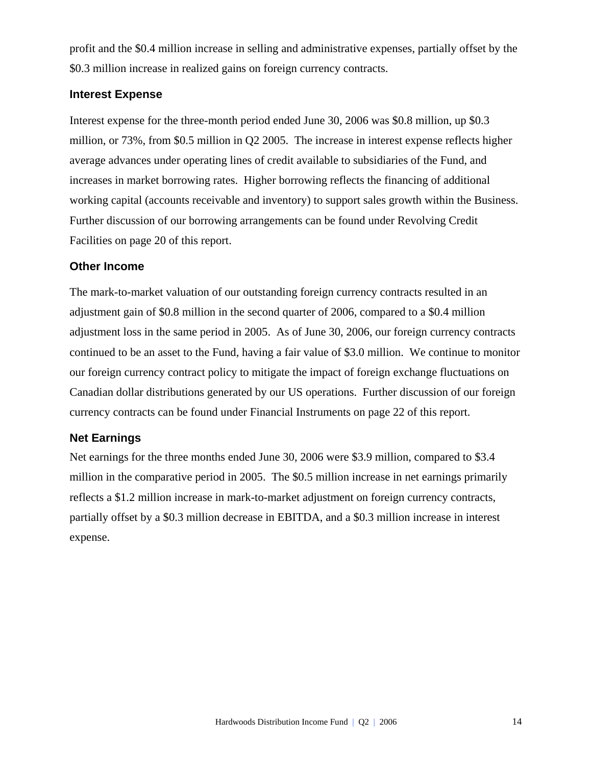profit and the \$0.4 million increase in selling and administrative expenses, partially offset by the \$0.3 million increase in realized gains on foreign currency contracts.

#### **Interest Expense**

Interest expense for the three-month period ended June 30, 2006 was \$0.8 million, up \$0.3 million, or 73%, from \$0.5 million in Q2 2005. The increase in interest expense reflects higher average advances under operating lines of credit available to subsidiaries of the Fund, and increases in market borrowing rates. Higher borrowing reflects the financing of additional working capital (accounts receivable and inventory) to support sales growth within the Business. Further discussion of our borrowing arrangements can be found under Revolving Credit Facilities on page 20 of this report.

#### **Other Income**

The mark-to-market valuation of our outstanding foreign currency contracts resulted in an adjustment gain of \$0.8 million in the second quarter of 2006, compared to a \$0.4 million adjustment loss in the same period in 2005. As of June 30, 2006, our foreign currency contracts continued to be an asset to the Fund, having a fair value of \$3.0 million. We continue to monitor our foreign currency contract policy to mitigate the impact of foreign exchange fluctuations on Canadian dollar distributions generated by our US operations. Further discussion of our foreign currency contracts can be found under Financial Instruments on page 22 of this report.

#### **Net Earnings**

Net earnings for the three months ended June 30, 2006 were \$3.9 million, compared to \$3.4 million in the comparative period in 2005. The \$0.5 million increase in net earnings primarily reflects a \$1.2 million increase in mark-to-market adjustment on foreign currency contracts, partially offset by a \$0.3 million decrease in EBITDA, and a \$0.3 million increase in interest expense.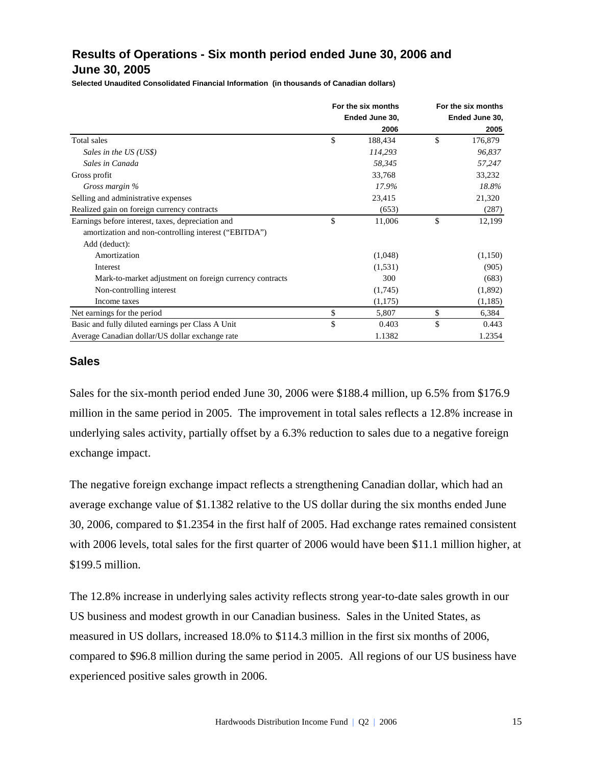#### **Results of Operations - Six month period ended June 30, 2006 and June 30, 2005**

**Selected Unaudited Consolidated Financial Information (in thousands of Canadian dollars)**

|                                                         | For the six months | For the six months |
|---------------------------------------------------------|--------------------|--------------------|
|                                                         | Ended June 30,     | Ended June 30,     |
|                                                         | 2006               | 2005               |
| Total sales                                             | \$<br>188,434      | \$<br>176,879      |
| Sales in the US (US\$)                                  | 114,293            | 96,837             |
| Sales in Canada                                         | 58,345             | 57,247             |
| Gross profit                                            | 33,768             | 33,232             |
| Gross margin %                                          | 17.9%              | 18.8%              |
| Selling and administrative expenses                     | 23,415             | 21,320             |
| Realized gain on foreign currency contracts             | (653)              | (287)              |
| Earnings before interest, taxes, depreciation and       | \$<br>11,006       | \$<br>12,199       |
| amortization and non-controlling interest ("EBITDA")    |                    |                    |
| Add (deduct):                                           |                    |                    |
| Amortization                                            | (1,048)            | (1,150)            |
| Interest                                                | (1,531)            | (905)              |
| Mark-to-market adjustment on foreign currency contracts | 300                | (683)              |
| Non-controlling interest                                | (1,745)            | (1,892)            |
| Income taxes                                            | (1,175)            | (1,185)            |
| Net earnings for the period                             | \$<br>5,807        | \$<br>6,384        |
| Basic and fully diluted earnings per Class A Unit       | \$<br>0.403        | \$<br>0.443        |
| Average Canadian dollar/US dollar exchange rate         | 1.1382             | 1.2354             |

#### **Sales**

Sales for the six-month period ended June 30, 2006 were \$188.4 million, up 6.5% from \$176.9 million in the same period in 2005. The improvement in total sales reflects a 12.8% increase in underlying sales activity, partially offset by a 6.3% reduction to sales due to a negative foreign exchange impact.

The negative foreign exchange impact reflects a strengthening Canadian dollar, which had an average exchange value of \$1.1382 relative to the US dollar during the six months ended June 30, 2006, compared to \$1.2354 in the first half of 2005. Had exchange rates remained consistent with 2006 levels, total sales for the first quarter of 2006 would have been \$11.1 million higher, at \$199.5 million.

The 12.8% increase in underlying sales activity reflects strong year-to-date sales growth in our US business and modest growth in our Canadian business. Sales in the United States, as measured in US dollars, increased 18.0% to \$114.3 million in the first six months of 2006, compared to \$96.8 million during the same period in 2005. All regions of our US business have experienced positive sales growth in 2006.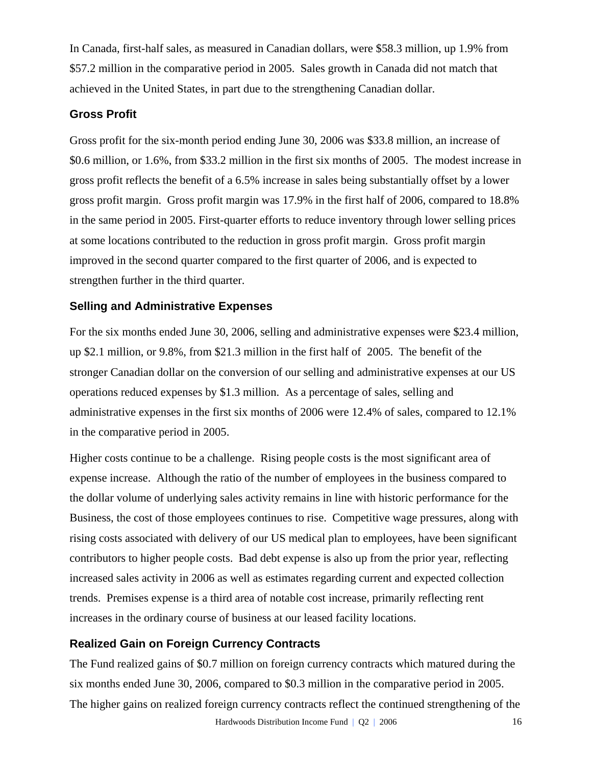In Canada, first-half sales, as measured in Canadian dollars, were \$58.3 million, up 1.9% from \$57.2 million in the comparative period in 2005. Sales growth in Canada did not match that achieved in the United States, in part due to the strengthening Canadian dollar.

#### **Gross Profit**

Gross profit for the six-month period ending June 30, 2006 was \$33.8 million, an increase of \$0.6 million, or 1.6%, from \$33.2 million in the first six months of 2005. The modest increase in gross profit reflects the benefit of a 6.5% increase in sales being substantially offset by a lower gross profit margin. Gross profit margin was 17.9% in the first half of 2006, compared to 18.8% in the same period in 2005. First-quarter efforts to reduce inventory through lower selling prices at some locations contributed to the reduction in gross profit margin. Gross profit margin improved in the second quarter compared to the first quarter of 2006, and is expected to strengthen further in the third quarter.

#### **Selling and Administrative Expenses**

For the six months ended June 30, 2006, selling and administrative expenses were \$23.4 million, up \$2.1 million, or 9.8%, from \$21.3 million in the first half of 2005. The benefit of the stronger Canadian dollar on the conversion of our selling and administrative expenses at our US operations reduced expenses by \$1.3 million. As a percentage of sales, selling and administrative expenses in the first six months of 2006 were 12.4% of sales, compared to 12.1% in the comparative period in 2005.

Higher costs continue to be a challenge. Rising people costs is the most significant area of expense increase. Although the ratio of the number of employees in the business compared to the dollar volume of underlying sales activity remains in line with historic performance for the Business, the cost of those employees continues to rise. Competitive wage pressures, along with rising costs associated with delivery of our US medical plan to employees, have been significant contributors to higher people costs. Bad debt expense is also up from the prior year, reflecting increased sales activity in 2006 as well as estimates regarding current and expected collection trends. Premises expense is a third area of notable cost increase, primarily reflecting rent increases in the ordinary course of business at our leased facility locations.

#### **Realized Gain on Foreign Currency Contracts**

The Fund realized gains of \$0.7 million on foreign currency contracts which matured during the six months ended June 30, 2006, compared to \$0.3 million in the comparative period in 2005. The higher gains on realized foreign currency contracts reflect the continued strengthening of the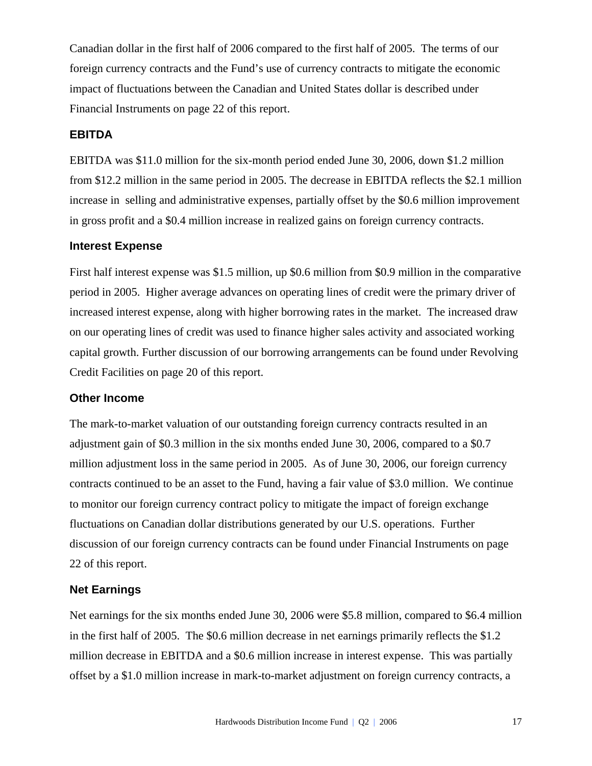Canadian dollar in the first half of 2006 compared to the first half of 2005. The terms of our foreign currency contracts and the Fund's use of currency contracts to mitigate the economic impact of fluctuations between the Canadian and United States dollar is described under Financial Instruments on page 22 of this report.

#### **EBITDA**

EBITDA was \$11.0 million for the six-month period ended June 30, 2006, down \$1.2 million from \$12.2 million in the same period in 2005. The decrease in EBITDA reflects the \$2.1 million increase in selling and administrative expenses, partially offset by the \$0.6 million improvement in gross profit and a \$0.4 million increase in realized gains on foreign currency contracts.

#### **Interest Expense**

First half interest expense was \$1.5 million, up \$0.6 million from \$0.9 million in the comparative period in 2005. Higher average advances on operating lines of credit were the primary driver of increased interest expense, along with higher borrowing rates in the market. The increased draw on our operating lines of credit was used to finance higher sales activity and associated working capital growth. Further discussion of our borrowing arrangements can be found under Revolving Credit Facilities on page 20 of this report.

#### **Other Income**

The mark-to-market valuation of our outstanding foreign currency contracts resulted in an adjustment gain of \$0.3 million in the six months ended June 30, 2006, compared to a \$0.7 million adjustment loss in the same period in 2005. As of June 30, 2006, our foreign currency contracts continued to be an asset to the Fund, having a fair value of \$3.0 million. We continue to monitor our foreign currency contract policy to mitigate the impact of foreign exchange fluctuations on Canadian dollar distributions generated by our U.S. operations. Further discussion of our foreign currency contracts can be found under Financial Instruments on page 22 of this report.

#### **Net Earnings**

Net earnings for the six months ended June 30, 2006 were \$5.8 million, compared to \$6.4 million in the first half of 2005. The \$0.6 million decrease in net earnings primarily reflects the \$1.2 million decrease in EBITDA and a \$0.6 million increase in interest expense. This was partially offset by a \$1.0 million increase in mark-to-market adjustment on foreign currency contracts, a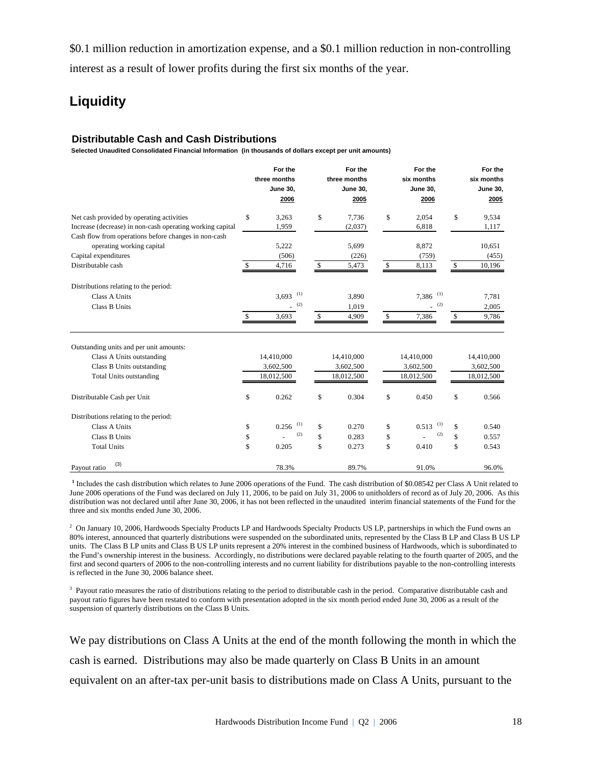\$0.1 million reduction in amortization expense, and a \$0.1 million reduction in non-controlling interest as a result of lower profits during the first six months of the year.

### **Liquidity**

#### **Distributable Cash and Cash Distributions**

**Selected Unaudited Consolidated Financial Information (in thousands of dollars except per unit amounts)**

|                                                           | For the<br>three months<br><b>June 30,</b><br>2006 | For the<br>three months<br><b>June 30,</b><br>2005 |              | For the<br>six months<br><b>June 30,</b><br>2006 |              | For the<br>six months<br><b>June 30,</b><br>2005 |
|-----------------------------------------------------------|----------------------------------------------------|----------------------------------------------------|--------------|--------------------------------------------------|--------------|--------------------------------------------------|
| Net cash provided by operating activities                 | \$<br>3,263                                        | \$<br>7,736                                        | \$           | 2,054                                            | \$           | 9,534                                            |
| Increase (decrease) in non-cash operating working capital | 1,959                                              | (2,037)                                            |              | 6,818                                            |              | 1,117                                            |
| Cash flow from operations before changes in non-cash      |                                                    |                                                    |              |                                                  |              |                                                  |
| operating working capital                                 | 5,222                                              | 5,699                                              |              | 8,872                                            |              | 10,651                                           |
| Capital expenditures                                      | (506)                                              | (226)                                              |              | (759)                                            |              | (455)                                            |
| Distributable cash                                        | 4,716                                              | \$<br>5,473                                        | S            | 8,113                                            | $\mathbb{S}$ | 10,196                                           |
| Distributions relating to the period:                     |                                                    |                                                    |              |                                                  |              |                                                  |
| Class A Units                                             | $3,693$ <sup>(1)</sup>                             | 3,890                                              |              | $7,386$ <sup>(1)</sup>                           |              | 7,781                                            |
| <b>Class B Units</b>                                      | (2)                                                | 1,019                                              |              | (2)                                              |              | 2.005                                            |
|                                                           | \$<br>3,693                                        | 4,909                                              | $\mathbb{S}$ | 7,386                                            | S            | 9,786                                            |
| Outstanding units and per unit amounts:                   |                                                    |                                                    |              |                                                  |              |                                                  |
| Class A Units outstanding                                 | 14,410,000                                         | 14,410,000                                         |              | 14,410,000                                       |              | 14,410,000                                       |
| Class B Units outstanding                                 | 3,602,500                                          | 3,602,500                                          |              | 3,602,500                                        |              | 3,602,500                                        |
| <b>Total Units outstanding</b>                            | 18,012,500                                         | 18,012,500                                         |              | 18,012,500                                       |              | 18,012,500                                       |
| Distributable Cash per Unit                               | \$<br>0.262                                        | \$<br>0.304                                        | \$           | 0.450                                            | \$           | 0.566                                            |
| Distributions relating to the period:                     |                                                    |                                                    |              |                                                  |              |                                                  |
| Class A Units                                             | \$<br>(1)<br>0.256                                 | \$<br>0.270                                        | \$           | (1)<br>0.513                                     | \$           | 0.540                                            |
| <b>Class B Units</b>                                      | \$<br>(2)                                          | \$<br>0.283                                        | \$           | (2)                                              | \$           | 0.557                                            |
| <b>Total Units</b>                                        | \$<br>0.205                                        | \$<br>0.273                                        | \$           | 0.410                                            | \$           | 0.543                                            |
| (3)<br>Payout ratio                                       | 78.3%                                              | 89.7%                                              |              | 91.0%                                            |              | 96.0%                                            |

**1** Includes the cash distribution which relates to June 2006 operations of the Fund. The cash distribution of \$0.08542 per Class A Unit related to June 2006 operations of the Fund was declared on July 11, 2006, to be paid on July 31, 2006 to unitholders of record as of July 20, 2006. As this distribution was not declared until after June 30, 2006, it has not been reflected in the unaudited interim financial statements of the Fund for the three and six months ended June 30, 2006.

<sup>2</sup> On January 10, 2006, Hardwoods Specialty Products LP and Hardwoods Specialty Products US LP, partnerships in which the Fund owns an 80% interest, announced that quarterly distributions were suspended on the subordinated units, represented by the Class B LP and Class B US LP units. The Class B LP units and Class B US LP units represent a 20% interest in the combined business of Hardwoods, which is subordinated to the Fund's ownership interest in the business. Accordingly, no distributions were declared payable relating to the fourth quarter of 2005, and the first and second quarters of 2006 to the non-controlling interests and no current liability for distributions payable to the non-controlling interests is reflected in the June 30, 2006 balance sheet.

<sup>3</sup> Payout ratio measures the ratio of distributions relating to the period to distributable cash in the period. Comparative distributable cash and payout ratio figures have been restated to conform with presentation adopted in the six month period ended June 30, 2006 as a result of the suspension of quarterly distributions on the Class B Units.

We pay distributions on Class A Units at the end of the month following the month in which the cash is earned. Distributions may also be made quarterly on Class B Units in an amount equivalent on an after-tax per-unit basis to distributions made on Class A Units, pursuant to the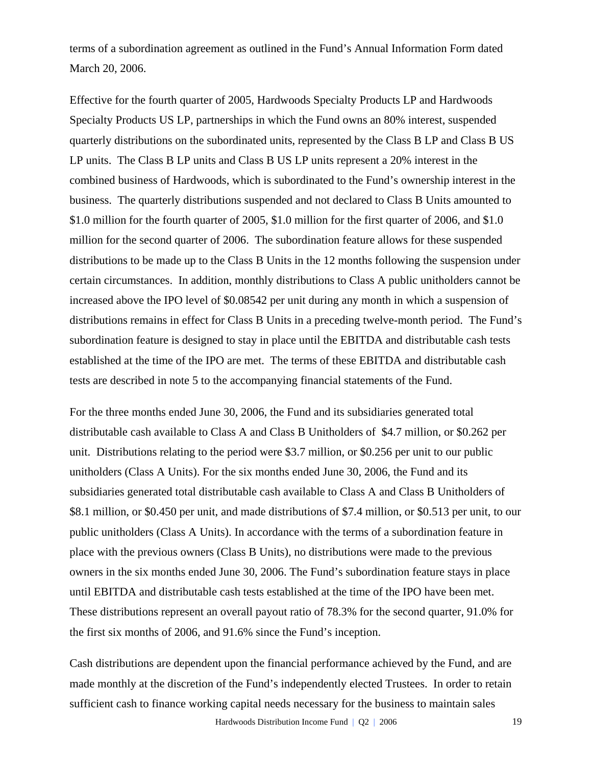terms of a subordination agreement as outlined in the Fund's Annual Information Form dated March 20, 2006.

Effective for the fourth quarter of 2005, Hardwoods Specialty Products LP and Hardwoods Specialty Products US LP, partnerships in which the Fund owns an 80% interest, suspended quarterly distributions on the subordinated units, represented by the Class B LP and Class B US LP units. The Class B LP units and Class B US LP units represent a 20% interest in the combined business of Hardwoods, which is subordinated to the Fund's ownership interest in the business. The quarterly distributions suspended and not declared to Class B Units amounted to \$1.0 million for the fourth quarter of 2005, \$1.0 million for the first quarter of 2006, and \$1.0 million for the second quarter of 2006. The subordination feature allows for these suspended distributions to be made up to the Class B Units in the 12 months following the suspension under certain circumstances. In addition, monthly distributions to Class A public unitholders cannot be increased above the IPO level of \$0.08542 per unit during any month in which a suspension of distributions remains in effect for Class B Units in a preceding twelve-month period. The Fund's subordination feature is designed to stay in place until the EBITDA and distributable cash tests established at the time of the IPO are met. The terms of these EBITDA and distributable cash tests are described in note 5 to the accompanying financial statements of the Fund.

For the three months ended June 30, 2006, the Fund and its subsidiaries generated total distributable cash available to Class A and Class B Unitholders of \$4.7 million, or \$0.262 per unit. Distributions relating to the period were \$3.7 million, or \$0.256 per unit to our public unitholders (Class A Units). For the six months ended June 30, 2006, the Fund and its subsidiaries generated total distributable cash available to Class A and Class B Unitholders of \$8.1 million, or \$0.450 per unit, and made distributions of \$7.4 million, or \$0.513 per unit, to our public unitholders (Class A Units). In accordance with the terms of a subordination feature in place with the previous owners (Class B Units), no distributions were made to the previous owners in the six months ended June 30, 2006. The Fund's subordination feature stays in place until EBITDA and distributable cash tests established at the time of the IPO have been met. These distributions represent an overall payout ratio of 78.3% for the second quarter, 91.0% for the first six months of 2006, and 91.6% since the Fund's inception.

Cash distributions are dependent upon the financial performance achieved by the Fund, and are made monthly at the discretion of the Fund's independently elected Trustees. In order to retain sufficient cash to finance working capital needs necessary for the business to maintain sales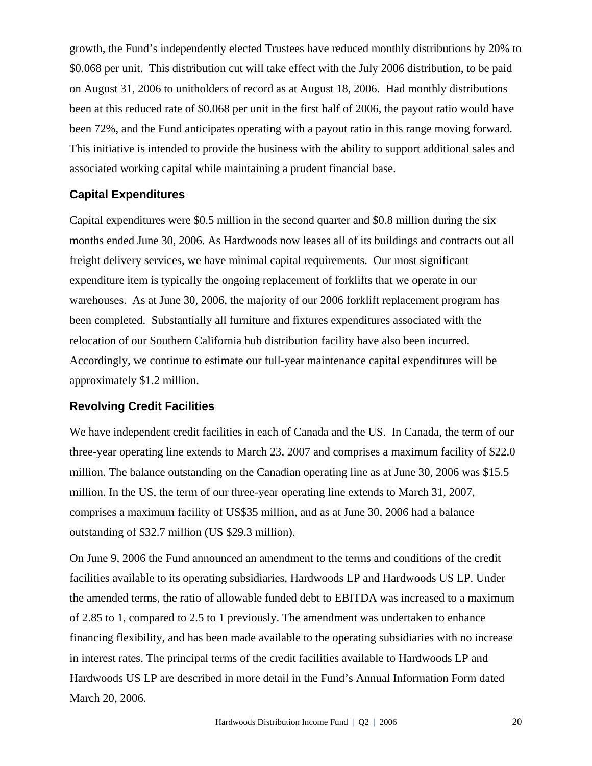growth, the Fund's independently elected Trustees have reduced monthly distributions by 20% to \$0.068 per unit. This distribution cut will take effect with the July 2006 distribution, to be paid on August 31, 2006 to unitholders of record as at August 18, 2006. Had monthly distributions been at this reduced rate of \$0.068 per unit in the first half of 2006, the payout ratio would have been 72%, and the Fund anticipates operating with a payout ratio in this range moving forward. This initiative is intended to provide the business with the ability to support additional sales and associated working capital while maintaining a prudent financial base.

#### **Capital Expenditures**

Capital expenditures were \$0.5 million in the second quarter and \$0.8 million during the six months ended June 30, 2006. As Hardwoods now leases all of its buildings and contracts out all freight delivery services, we have minimal capital requirements. Our most significant expenditure item is typically the ongoing replacement of forklifts that we operate in our warehouses. As at June 30, 2006, the majority of our 2006 forklift replacement program has been completed. Substantially all furniture and fixtures expenditures associated with the relocation of our Southern California hub distribution facility have also been incurred. Accordingly, we continue to estimate our full-year maintenance capital expenditures will be approximately \$1.2 million.

#### **Revolving Credit Facilities**

We have independent credit facilities in each of Canada and the US. In Canada, the term of our three-year operating line extends to March 23, 2007 and comprises a maximum facility of \$22.0 million. The balance outstanding on the Canadian operating line as at June 30, 2006 was \$15.5 million. In the US, the term of our three-year operating line extends to March 31, 2007, comprises a maximum facility of US\$35 million, and as at June 30, 2006 had a balance outstanding of \$32.7 million (US \$29.3 million).

On June 9, 2006 the Fund announced an amendment to the terms and conditions of the credit facilities available to its operating subsidiaries, Hardwoods LP and Hardwoods US LP. Under the amended terms, the ratio of allowable funded debt to EBITDA was increased to a maximum of 2.85 to 1, compared to 2.5 to 1 previously. The amendment was undertaken to enhance financing flexibility, and has been made available to the operating subsidiaries with no increase in interest rates. The principal terms of the credit facilities available to Hardwoods LP and Hardwoods US LP are described in more detail in the Fund's Annual Information Form dated March 20, 2006.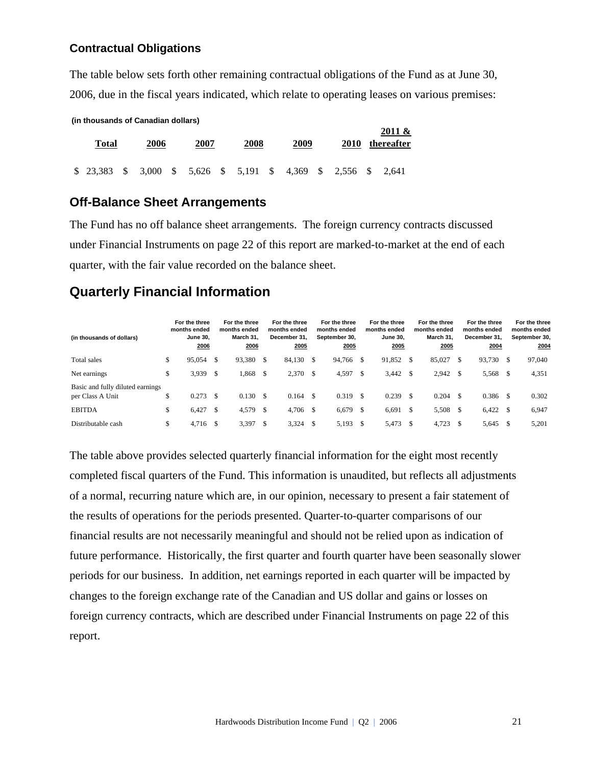#### **Contractual Obligations**

The table below sets forth other remaining contractual obligations of the Fund as at June 30, 2006, due in the fiscal years indicated, which relate to operating leases on various premises:

**(in thousands of Canadian dollars)**

| Total                                                           | 2006 | 2007 | 2008 | 2009 | <b>2010</b> | 2011 &<br>thereafter |
|-----------------------------------------------------------------|------|------|------|------|-------------|----------------------|
| \$ 23,383 \$ 3,000 \$ 5,626 \$ 5,191 \$ 4,369 \$ 2,556 \$ 2,641 |      |      |      |      |             |                      |

#### **Off-Balance Sheet Arrangements**

The Fund has no off balance sheet arrangements. The foreign currency contracts discussed under Financial Instruments on page 22 of this report are marked-to-market at the end of each quarter, with the fair value recorded on the balance sheet.

#### **Quarterly Financial Information**

| (in thousands of dollars)                            |   | For the three<br>months ended<br>June 30.<br>2006 |          | For the three<br>months ended<br>March 31.<br>2006 |               | For the three<br>months ended<br>December 31.<br>2005 |      | For the three<br>months ended<br>September 30.<br>2005 |    | For the three<br>months ended<br><b>June 30.</b><br>2005 |          | For the three<br>months ended<br>March 31.<br>2005 |               | For the three<br>months ended<br>December 31.<br>2004 |               | For the three<br>months ended<br>September 30.<br>2004 |
|------------------------------------------------------|---|---------------------------------------------------|----------|----------------------------------------------------|---------------|-------------------------------------------------------|------|--------------------------------------------------------|----|----------------------------------------------------------|----------|----------------------------------------------------|---------------|-------------------------------------------------------|---------------|--------------------------------------------------------|
| Total sales                                          | S | 95,054                                            | - \$     | 93,380                                             | \$.           | 84,130                                                | - \$ | 94,766                                                 | £. | 91,852                                                   |          | 85,027                                             | -S            | 93,730                                                | \$.           | 97,040                                                 |
| Net earnings                                         | S | 3.939                                             | - \$     | .868                                               | \$            | $2,370$ \$                                            |      | 4,597                                                  | £. | 3.442                                                    | - \$     | 2.942                                              | - \$          | 5,568                                                 | -S            | 4,351                                                  |
| Basic and fully diluted earnings<br>per Class A Unit | ъ | 0.273                                             | - \$     | 0.130                                              | <sup>\$</sup> | $0.164$ \$                                            |      | 0.319                                                  | -S | 0.239                                                    | \$.      | 0.204                                              | -S            | 0.386                                                 | -S            | 0.302                                                  |
| <b>EBITDA</b>                                        | S | 6.427                                             | <b>S</b> | 4.579                                              | S             | $4,706$ \$                                            |      | 6,679                                                  | -S | 6,691                                                    | \$.      | 5,508                                              | <sup>\$</sup> | 6,422                                                 | <sup>\$</sup> | 6,947                                                  |
| Distributable cash                                   | ж | $4,716$ \$                                        |          | 3.397                                              | S             | 3,324                                                 |      | 5.193                                                  | -S | 5,473                                                    | <b>S</b> | 4,723                                              | -S            | 5,645                                                 | -S            | 5,201                                                  |

The table above provides selected quarterly financial information for the eight most recently completed fiscal quarters of the Fund. This information is unaudited, but reflects all adjustments of a normal, recurring nature which are, in our opinion, necessary to present a fair statement of the results of operations for the periods presented. Quarter-to-quarter comparisons of our financial results are not necessarily meaningful and should not be relied upon as indication of future performance. Historically, the first quarter and fourth quarter have been seasonally slower periods for our business. In addition, net earnings reported in each quarter will be impacted by changes to the foreign exchange rate of the Canadian and US dollar and gains or losses on foreign currency contracts, which are described under Financial Instruments on page 22 of this report.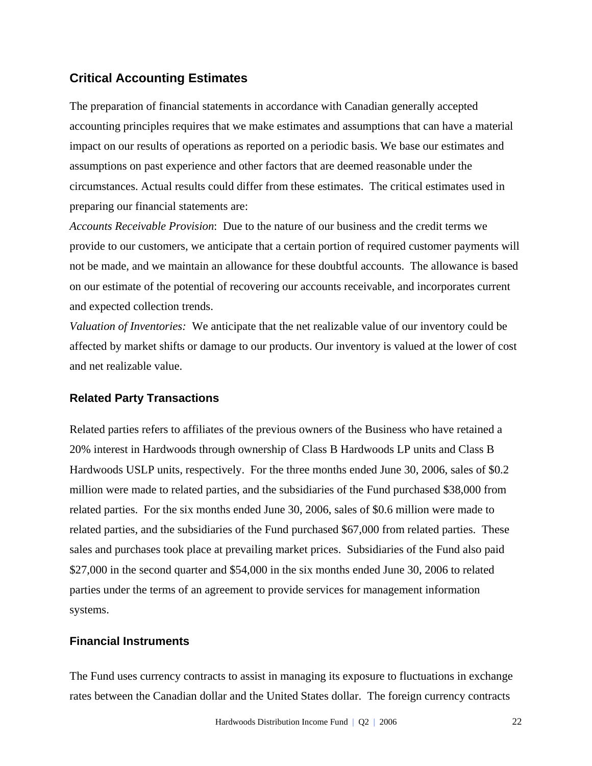#### **Critical Accounting Estimates**

The preparation of financial statements in accordance with Canadian generally accepted accounting principles requires that we make estimates and assumptions that can have a material impact on our results of operations as reported on a periodic basis. We base our estimates and assumptions on past experience and other factors that are deemed reasonable under the circumstances. Actual results could differ from these estimates. The critical estimates used in preparing our financial statements are:

*Accounts Receivable Provision*: Due to the nature of our business and the credit terms we provide to our customers, we anticipate that a certain portion of required customer payments will not be made, and we maintain an allowance for these doubtful accounts. The allowance is based on our estimate of the potential of recovering our accounts receivable, and incorporates current and expected collection trends.

*Valuation of Inventories:* We anticipate that the net realizable value of our inventory could be affected by market shifts or damage to our products. Our inventory is valued at the lower of cost and net realizable value.

#### **Related Party Transactions**

Related parties refers to affiliates of the previous owners of the Business who have retained a 20% interest in Hardwoods through ownership of Class B Hardwoods LP units and Class B Hardwoods USLP units, respectively. For the three months ended June 30, 2006, sales of \$0.2 million were made to related parties, and the subsidiaries of the Fund purchased \$38,000 from related parties. For the six months ended June 30, 2006, sales of \$0.6 million were made to related parties, and the subsidiaries of the Fund purchased \$67,000 from related parties. These sales and purchases took place at prevailing market prices. Subsidiaries of the Fund also paid \$27,000 in the second quarter and \$54,000 in the six months ended June 30, 2006 to related parties under the terms of an agreement to provide services for management information systems.

#### **Financial Instruments**

The Fund uses currency contracts to assist in managing its exposure to fluctuations in exchange rates between the Canadian dollar and the United States dollar. The foreign currency contracts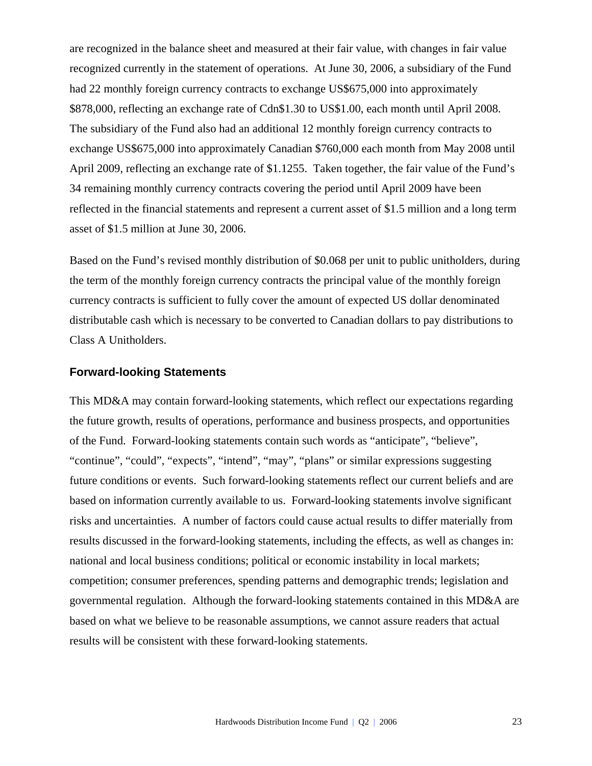are recognized in the balance sheet and measured at their fair value, with changes in fair value recognized currently in the statement of operations. At June 30, 2006, a subsidiary of the Fund had 22 monthly foreign currency contracts to exchange US\$675,000 into approximately \$878,000, reflecting an exchange rate of Cdn\$1.30 to US\$1.00, each month until April 2008. The subsidiary of the Fund also had an additional 12 monthly foreign currency contracts to exchange US\$675,000 into approximately Canadian \$760,000 each month from May 2008 until April 2009, reflecting an exchange rate of \$1.1255. Taken together, the fair value of the Fund's 34 remaining monthly currency contracts covering the period until April 2009 have been reflected in the financial statements and represent a current asset of \$1.5 million and a long term asset of \$1.5 million at June 30, 2006.

Based on the Fund's revised monthly distribution of \$0.068 per unit to public unitholders, during the term of the monthly foreign currency contracts the principal value of the monthly foreign currency contracts is sufficient to fully cover the amount of expected US dollar denominated distributable cash which is necessary to be converted to Canadian dollars to pay distributions to Class A Unitholders.

#### **Forward-looking Statements**

This MD&A may contain forward-looking statements, which reflect our expectations regarding the future growth, results of operations, performance and business prospects, and opportunities of the Fund. Forward-looking statements contain such words as "anticipate", "believe", "continue", "could", "expects", "intend", "may", "plans" or similar expressions suggesting future conditions or events. Such forward-looking statements reflect our current beliefs and are based on information currently available to us. Forward-looking statements involve significant risks and uncertainties. A number of factors could cause actual results to differ materially from results discussed in the forward-looking statements, including the effects, as well as changes in: national and local business conditions; political or economic instability in local markets; competition; consumer preferences, spending patterns and demographic trends; legislation and governmental regulation. Although the forward-looking statements contained in this MD&A are based on what we believe to be reasonable assumptions, we cannot assure readers that actual results will be consistent with these forward-looking statements.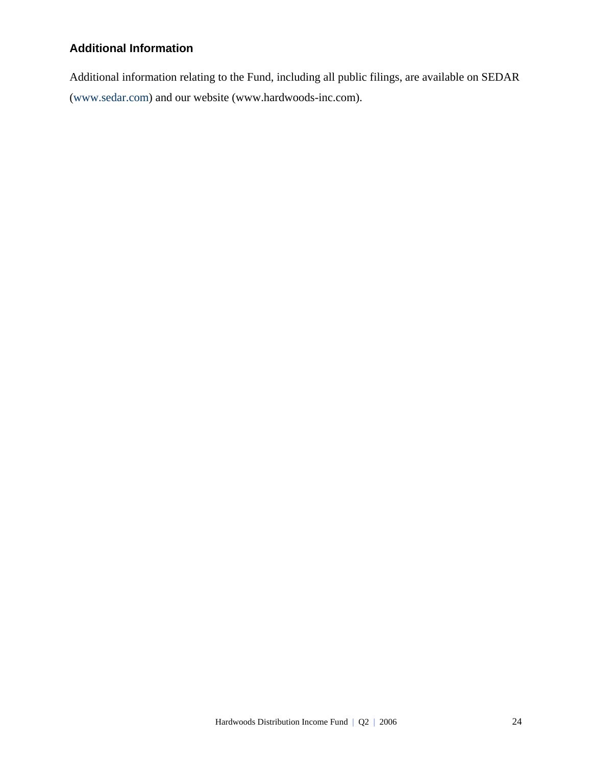#### **Additional Information**

Additional information relating to the Fund, including all public filings, are available on SEDAR (www.sedar.com) and our website (www.hardwoods-inc.com).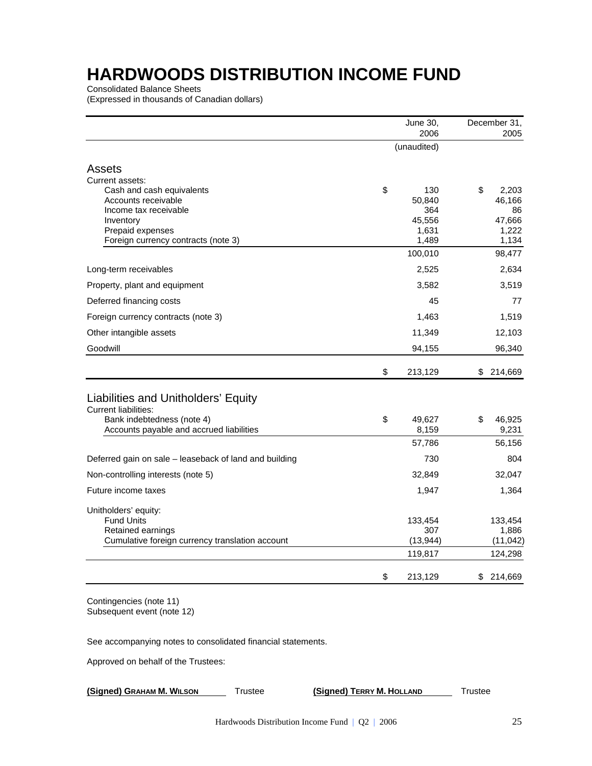Consolidated Balance Sheets

(Expressed in thousands of Canadian dollars)

|                                                           | June 30,      | December 31,  |
|-----------------------------------------------------------|---------------|---------------|
|                                                           | 2006          | 2005          |
|                                                           | (unaudited)   |               |
| Assets                                                    |               |               |
| Current assets:                                           |               |               |
| Cash and cash equivalents                                 | \$<br>130     | \$<br>2,203   |
| Accounts receivable                                       | 50,840        | 46,166        |
| Income tax receivable<br>Inventory                        | 364<br>45,556 | 86<br>47,666  |
| Prepaid expenses                                          | 1,631         | 1,222         |
| Foreign currency contracts (note 3)                       | 1,489         | 1,134         |
|                                                           | 100,010       | 98,477        |
| Long-term receivables                                     | 2,525         | 2,634         |
| Property, plant and equipment                             | 3,582         | 3,519         |
| Deferred financing costs                                  | 45            | 77            |
| Foreign currency contracts (note 3)                       | 1,463         | 1,519         |
| Other intangible assets                                   | 11,349        | 12,103        |
| Goodwill                                                  | 94,155        | 96,340        |
|                                                           | \$<br>213,129 | \$<br>214,669 |
|                                                           |               |               |
| Liabilities and Unitholders' Equity                       |               |               |
| <b>Current liabilities:</b><br>Bank indebtedness (note 4) | \$<br>49,627  | \$<br>46,925  |
| Accounts payable and accrued liabilities                  | 8,159         | 9,231         |
|                                                           | 57,786        | 56,156        |
| Deferred gain on sale - leaseback of land and building    | 730           | 804           |
| Non-controlling interests (note 5)                        | 32,849        | 32,047        |
| Future income taxes                                       | 1,947         | 1,364         |
| Unitholders' equity:                                      |               |               |
| <b>Fund Units</b>                                         | 133,454       | 133,454       |
| Retained earnings                                         | 307           | 1,886         |
| Cumulative foreign currency translation account           | (13, 944)     | (11, 042)     |
|                                                           | 119,817       | 124,298       |
|                                                           | \$<br>213,129 | \$<br>214,669 |

Subsequent event (note 12)

See accompanying notes to consolidated financial statements.

Approved on behalf of the Trustees:

**(Signed) GRAHAM M. WILSON** Trustee **(Signed) TERRY M. HOLLAND** Trustee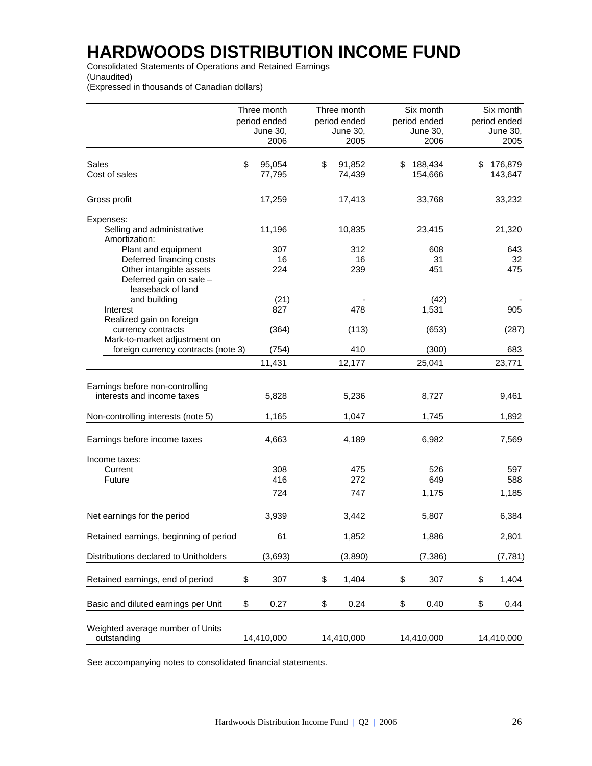Consolidated Statements of Operations and Retained Earnings (Unaudited)

(Expressed in thousands of Canadian dollars)

|                                                               | Three month              | Three month      |    | Six month        | Six month                |
|---------------------------------------------------------------|--------------------------|------------------|----|------------------|--------------------------|
|                                                               | period ended<br>June 30, | period ended     |    | period ended     | period ended<br>June 30, |
|                                                               | 2006                     | June 30,<br>2005 |    | June 30,<br>2006 | 2005                     |
| Sales                                                         | \$<br>95,054             | \$<br>91,852     | S  | 188,434          | \$<br>176,879            |
| Cost of sales                                                 | 77,795                   | 74,439           |    | 154,666          | 143,647                  |
| Gross profit                                                  | 17,259                   | 17,413           |    | 33,768           | 33,232                   |
| Expenses:                                                     |                          |                  |    |                  |                          |
| Selling and administrative<br>Amortization:                   | 11,196                   | 10,835           |    | 23,415           | 21,320                   |
| Plant and equipment                                           | 307                      | 312              |    | 608              | 643                      |
| Deferred financing costs                                      | 16                       | 16               |    | 31               | 32                       |
| Other intangible assets                                       | 224                      | 239              |    | 451              | 475                      |
| Deferred gain on sale -                                       |                          |                  |    |                  |                          |
| leaseback of land                                             |                          |                  |    |                  |                          |
| and building<br>Interest                                      | (21)<br>827              | 478              |    | (42)<br>1,531    | 905                      |
| Realized gain on foreign                                      |                          |                  |    |                  |                          |
| currency contracts                                            | (364)                    | (113)            |    | (653)            | (287)                    |
| Mark-to-market adjustment on                                  |                          |                  |    |                  |                          |
| foreign currency contracts (note 3)                           | (754)                    | 410              |    | (300)            | 683                      |
|                                                               | 11,431                   | 12,177           |    | 25,041           | 23,771                   |
|                                                               |                          |                  |    |                  |                          |
| Earnings before non-controlling<br>interests and income taxes |                          |                  |    |                  |                          |
|                                                               | 5,828                    | 5,236            |    | 8,727            | 9,461                    |
| Non-controlling interests (note 5)                            | 1,165                    | 1,047            |    | 1,745            | 1,892                    |
| Earnings before income taxes                                  | 4,663                    | 4,189            |    | 6,982            | 7,569                    |
|                                                               |                          |                  |    |                  |                          |
| Income taxes:                                                 |                          |                  |    |                  |                          |
| Current<br>Future                                             | 308<br>416               | 475<br>272       |    | 526<br>649       | 597                      |
|                                                               |                          |                  |    |                  | 588                      |
|                                                               | 724                      | 747              |    | 1,175            | 1,185                    |
| Net earnings for the period                                   | 3,939                    | 3,442            |    | 5,807            | 6,384                    |
| Retained earnings, beginning of period                        | 61                       | 1,852            |    | 1,886            | 2,801                    |
| Distributions declared to Unitholders                         | (3,693)                  | (3,890)          |    | (7, 386)         | (7, 781)                 |
| Retained earnings, end of period                              | \$<br>307                | \$<br>1,404      | \$ | 307              | \$<br>1,404              |
| Basic and diluted earnings per Unit                           | \$<br>0.27               | \$<br>0.24       | \$ | 0.40             | \$<br>0.44               |
|                                                               |                          |                  |    |                  |                          |
| Weighted average number of Units                              |                          |                  |    |                  |                          |
| outstanding                                                   | 14,410,000               | 14,410,000       |    | 14,410,000       | 14,410,000               |

See accompanying notes to consolidated financial statements.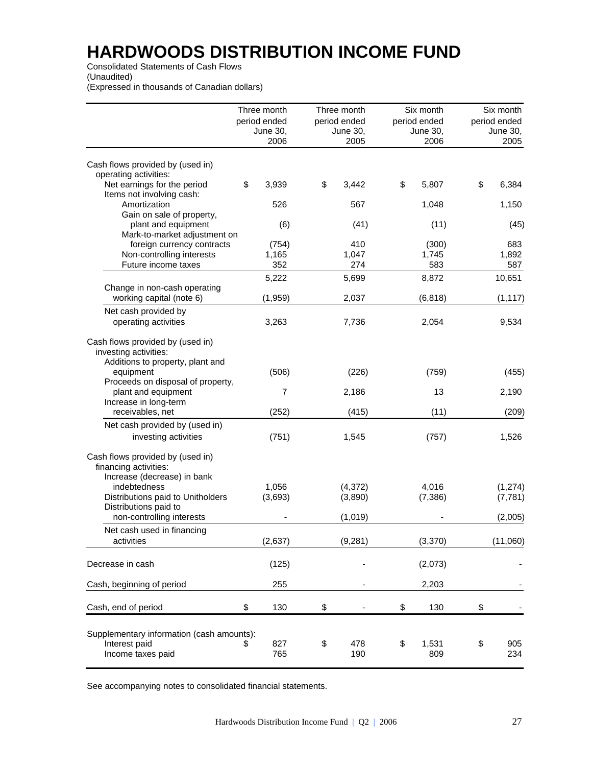Consolidated Statements of Cash Flows

(Unaudited)

(Expressed in thousands of Canadian dollars)

|                                           | Three month  |                | Three month      | Six month          | Six month        |
|-------------------------------------------|--------------|----------------|------------------|--------------------|------------------|
|                                           | period ended |                | period ended     | period ended       | period ended     |
|                                           |              | June 30,       | June 30,         | June 30,           | June 30,         |
|                                           |              | 2006           | 2005             | 2006               | 2005             |
| Cash flows provided by (used in)          |              |                |                  |                    |                  |
| operating activities:                     |              |                |                  |                    |                  |
| Net earnings for the period               | \$           | 3,939          | \$<br>3,442      | \$<br>5,807        | \$<br>6,384      |
| Items not involving cash:                 |              |                |                  |                    |                  |
| Amortization                              |              | 526            | 567              | 1,048              | 1,150            |
| Gain on sale of property,                 |              |                |                  |                    |                  |
| plant and equipment                       |              | (6)            | (41)             | (11)               | (45)             |
| Mark-to-market adjustment on              |              |                |                  |                    |                  |
| foreign currency contracts                |              | (754)          | 410              | (300)              | 683              |
| Non-controlling interests                 |              | 1,165          | 1,047            | 1,745              | 1,892            |
| Future income taxes                       |              | 352            | 274              | 583                | 587              |
|                                           |              | 5,222          | 5,699            | 8,872              | 10,651           |
| Change in non-cash operating              |              |                |                  |                    |                  |
| working capital (note 6)                  |              | (1,959)        | 2,037            | (6, 818)           | (1, 117)         |
| Net cash provided by                      |              |                |                  |                    |                  |
| operating activities                      |              | 3,263          | 7,736            | 2,054              | 9,534            |
| Cash flows provided by (used in)          |              |                |                  |                    |                  |
| investing activities:                     |              |                |                  |                    |                  |
| Additions to property, plant and          |              |                |                  |                    |                  |
| equipment                                 |              | (506)          | (226)            | (759)              | (455)            |
| Proceeds on disposal of property,         |              |                |                  |                    |                  |
| plant and equipment                       |              | $\overline{7}$ | 2,186            | 13                 | 2,190            |
| Increase in long-term                     |              |                |                  |                    |                  |
| receivables, net                          |              | (252)          | (415)            | (11)               | (209)            |
| Net cash provided by (used in)            |              |                |                  |                    |                  |
| investing activities                      |              | (751)          | 1,545            | (757)              | 1,526            |
| Cash flows provided by (used in)          |              |                |                  |                    |                  |
| financing activities:                     |              |                |                  |                    |                  |
| Increase (decrease) in bank               |              |                |                  |                    |                  |
| indebtedness                              |              | 1,056          | (4, 372)         | 4,016              | (1, 274)         |
| Distributions paid to Unitholders         |              | (3,693)        | (3,890)          | (7, 386)           | (7, 781)         |
| Distributions paid to                     |              |                |                  |                    |                  |
| non-controlling interests                 |              |                | (1,019)          |                    | (2,005)          |
| Net cash used in financing                |              |                |                  |                    |                  |
| activities                                |              | (2,637)        | (9, 281)         | (3,370)            | (11,060)         |
|                                           |              |                |                  |                    |                  |
| Decrease in cash                          |              | (125)          |                  | (2,073)            |                  |
| Cash, beginning of period                 |              | 255            |                  | 2,203              |                  |
| Cash, end of period                       | \$           | 130            | \$               | \$<br>130          | \$               |
| Supplementary information (cash amounts): |              |                |                  |                    |                  |
| Interest paid<br>Income taxes paid        | \$           | 827<br>765     | \$<br>478<br>190 | \$<br>1,531<br>809 | \$<br>905<br>234 |

See accompanying notes to consolidated financial statements.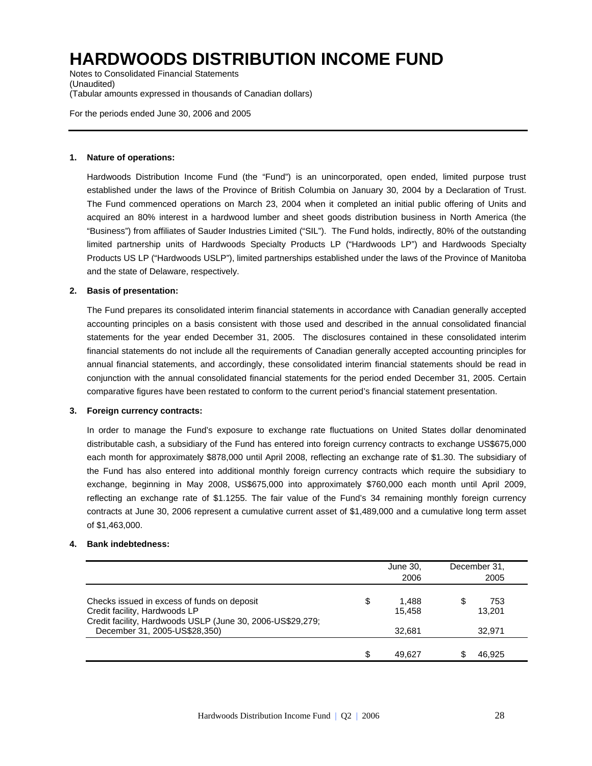Notes to Consolidated Financial Statements (Unaudited) (Tabular amounts expressed in thousands of Canadian dollars)

For the periods ended June 30, 2006 and 2005

#### **1. Nature of operations:**

Hardwoods Distribution Income Fund (the "Fund") is an unincorporated, open ended, limited purpose trust established under the laws of the Province of British Columbia on January 30, 2004 by a Declaration of Trust. The Fund commenced operations on March 23, 2004 when it completed an initial public offering of Units and acquired an 80% interest in a hardwood lumber and sheet goods distribution business in North America (the "Business") from affiliates of Sauder Industries Limited ("SIL"). The Fund holds, indirectly, 80% of the outstanding limited partnership units of Hardwoods Specialty Products LP ("Hardwoods LP") and Hardwoods Specialty Products US LP ("Hardwoods USLP"), limited partnerships established under the laws of the Province of Manitoba and the state of Delaware, respectively.

#### **2. Basis of presentation:**

The Fund prepares its consolidated interim financial statements in accordance with Canadian generally accepted accounting principles on a basis consistent with those used and described in the annual consolidated financial statements for the year ended December 31, 2005. The disclosures contained in these consolidated interim financial statements do not include all the requirements of Canadian generally accepted accounting principles for annual financial statements, and accordingly, these consolidated interim financial statements should be read in conjunction with the annual consolidated financial statements for the period ended December 31, 2005. Certain comparative figures have been restated to conform to the current period's financial statement presentation.

#### **3. Foreign currency contracts:**

In order to manage the Fund's exposure to exchange rate fluctuations on United States dollar denominated distributable cash, a subsidiary of the Fund has entered into foreign currency contracts to exchange US\$675,000 each month for approximately \$878,000 until April 2008, reflecting an exchange rate of \$1.30. The subsidiary of the Fund has also entered into additional monthly foreign currency contracts which require the subsidiary to exchange, beginning in May 2008, US\$675,000 into approximately \$760,000 each month until April 2009, reflecting an exchange rate of \$1.1255. The fair value of the Fund's 34 remaining monthly foreign currency contracts at June 30, 2006 represent a cumulative current asset of \$1,489,000 and a cumulative long term asset of \$1,463,000.

#### **4. Bank indebtedness:**

|                                                                                                                                            | June 30,<br>2006      | December 31,<br>2005 |
|--------------------------------------------------------------------------------------------------------------------------------------------|-----------------------|----------------------|
| Checks issued in excess of funds on deposit<br>Credit facility, Hardwoods LP<br>Credit facility, Hardwoods USLP (June 30, 2006-US\$29,279; | \$<br>1,488<br>15.458 | S<br>753<br>13.201   |
| December 31, 2005-US\$28,350)                                                                                                              | 32.681                | 32.971               |
|                                                                                                                                            | \$<br>49.627          | 46.925               |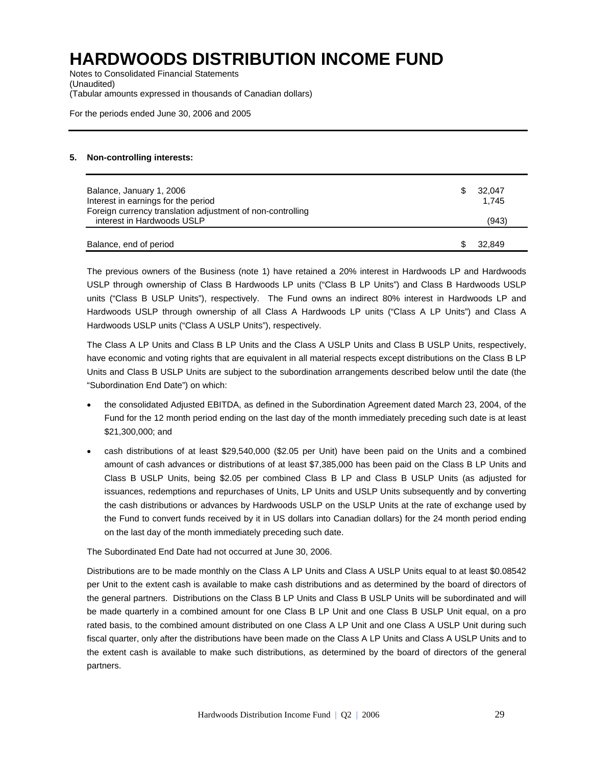Notes to Consolidated Financial Statements (Unaudited) (Tabular amounts expressed in thousands of Canadian dollars)

For the periods ended June 30, 2006 and 2005

#### **5. Non-controlling interests:**

| Balance, January 1, 2006<br>Interest in earnings for the period<br>Foreign currency translation adjustment of non-controlling | 32.047<br>1.745 |
|-------------------------------------------------------------------------------------------------------------------------------|-----------------|
| interest in Hardwoods USLP                                                                                                    | (943)           |
|                                                                                                                               |                 |
| Balance, end of period                                                                                                        | 32.849          |

The previous owners of the Business (note 1) have retained a 20% interest in Hardwoods LP and Hardwoods USLP through ownership of Class B Hardwoods LP units ("Class B LP Units") and Class B Hardwoods USLP units ("Class B USLP Units"), respectively. The Fund owns an indirect 80% interest in Hardwoods LP and Hardwoods USLP through ownership of all Class A Hardwoods LP units ("Class A LP Units") and Class A Hardwoods USLP units ("Class A USLP Units"), respectively.

The Class A LP Units and Class B LP Units and the Class A USLP Units and Class B USLP Units, respectively, have economic and voting rights that are equivalent in all material respects except distributions on the Class B LP Units and Class B USLP Units are subject to the subordination arrangements described below until the date (the "Subordination End Date") on which:

- the consolidated Adjusted EBITDA, as defined in the Subordination Agreement dated March 23, 2004, of the Fund for the 12 month period ending on the last day of the month immediately preceding such date is at least \$21,300,000; and
- cash distributions of at least \$29,540,000 (\$2.05 per Unit) have been paid on the Units and a combined amount of cash advances or distributions of at least \$7,385,000 has been paid on the Class B LP Units and Class B USLP Units, being \$2.05 per combined Class B LP and Class B USLP Units (as adjusted for issuances, redemptions and repurchases of Units, LP Units and USLP Units subsequently and by converting the cash distributions or advances by Hardwoods USLP on the USLP Units at the rate of exchange used by the Fund to convert funds received by it in US dollars into Canadian dollars) for the 24 month period ending on the last day of the month immediately preceding such date.

The Subordinated End Date had not occurred at June 30, 2006.

Distributions are to be made monthly on the Class A LP Units and Class A USLP Units equal to at least \$0.08542 per Unit to the extent cash is available to make cash distributions and as determined by the board of directors of the general partners. Distributions on the Class B LP Units and Class B USLP Units will be subordinated and will be made quarterly in a combined amount for one Class B LP Unit and one Class B USLP Unit equal, on a pro rated basis, to the combined amount distributed on one Class A LP Unit and one Class A USLP Unit during such fiscal quarter, only after the distributions have been made on the Class A LP Units and Class A USLP Units and to the extent cash is available to make such distributions, as determined by the board of directors of the general partners.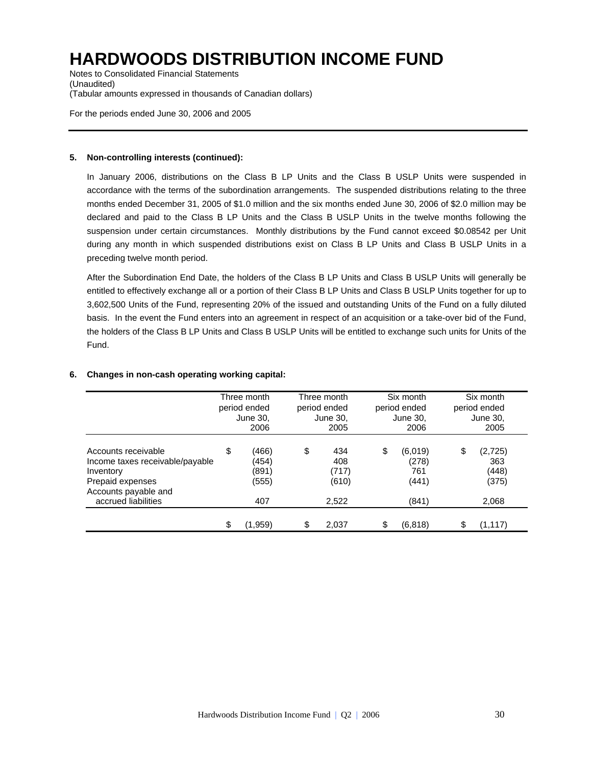Notes to Consolidated Financial Statements (Unaudited) (Tabular amounts expressed in thousands of Canadian dollars)

For the periods ended June 30, 2006 and 2005

#### **5. Non-controlling interests (continued):**

In January 2006, distributions on the Class B LP Units and the Class B USLP Units were suspended in accordance with the terms of the subordination arrangements. The suspended distributions relating to the three months ended December 31, 2005 of \$1.0 million and the six months ended June 30, 2006 of \$2.0 million may be declared and paid to the Class B LP Units and the Class B USLP Units in the twelve months following the suspension under certain circumstances. Monthly distributions by the Fund cannot exceed \$0.08542 per Unit during any month in which suspended distributions exist on Class B LP Units and Class B USLP Units in a preceding twelve month period.

After the Subordination End Date, the holders of the Class B LP Units and Class B USLP Units will generally be entitled to effectively exchange all or a portion of their Class B LP Units and Class B USLP Units together for up to 3,602,500 Units of the Fund, representing 20% of the issued and outstanding Units of the Fund on a fully diluted basis. In the event the Fund enters into an agreement in respect of an acquisition or a take-over bid of the Fund, the holders of the Class B LP Units and Class B USLP Units will be entitled to exchange such units for Units of the Fund.

|                                                                                                                 | Three month<br>period ended<br>June 30,<br>2006 | Three month<br>period ended<br>June 30,<br>2005 | Six month<br>period ended<br>June 30.<br>2006 | Six month<br>period ended<br>June 30,<br>2005 |
|-----------------------------------------------------------------------------------------------------------------|-------------------------------------------------|-------------------------------------------------|-----------------------------------------------|-----------------------------------------------|
| Accounts receivable<br>Income taxes receivable/payable<br>Inventory<br>Prepaid expenses<br>Accounts payable and | \$<br>(466)<br>(454)<br>(891)<br>(555)          | \$<br>434<br>408<br>(717)<br>(610)              | \$<br>(6,019)<br>(278)<br>761<br>(441)        | \$<br>(2, 725)<br>363<br>(448)<br>(375)       |
| accrued liabilities                                                                                             | 407                                             | 2,522                                           | (841)                                         | 2,068                                         |
|                                                                                                                 | \$<br>(1,959)                                   | \$<br>2.037                                     | \$<br>(6, 818)                                | \$<br>(1, 117)                                |

#### **6. Changes in non-cash operating working capital:**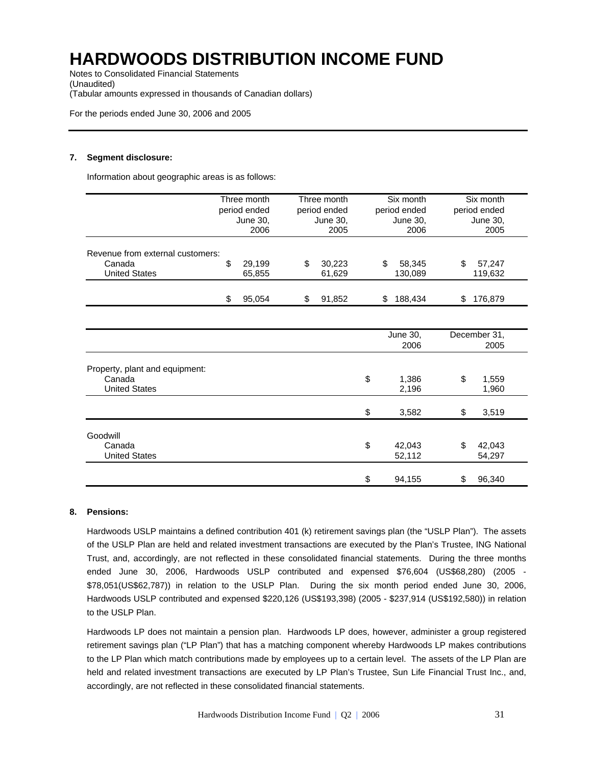Notes to Consolidated Financial Statements (Unaudited) (Tabular amounts expressed in thousands of Canadian dollars)

For the periods ended June 30, 2006 and 2005

#### **7. Segment disclosure:**

Information about geographic areas is as follows:

|                                                                  | Three month<br>period ended<br>June 30,<br>2006 |                  | Three month<br>period ended<br>June 30,<br>2005 |                  | Six month<br>period ended<br>June 30,<br>2006 |                         | Six month<br>period ended<br>June 30,<br>2005 |                      |
|------------------------------------------------------------------|-------------------------------------------------|------------------|-------------------------------------------------|------------------|-----------------------------------------------|-------------------------|-----------------------------------------------|----------------------|
|                                                                  |                                                 |                  |                                                 |                  |                                               |                         |                                               |                      |
|                                                                  |                                                 |                  |                                                 |                  |                                               |                         |                                               |                      |
| Revenue from external customers:                                 |                                                 |                  |                                                 |                  |                                               |                         |                                               |                      |
| Canada<br><b>United States</b>                                   | \$                                              | 29,199<br>65,855 | \$                                              | 30,223<br>61,629 |                                               | \$<br>58,345<br>130,089 | \$                                            | 57,247<br>119,632    |
|                                                                  | \$                                              | 95,054           | \$                                              | 91,852           |                                               | 188,434<br>\$           | \$                                            | 176,879              |
|                                                                  |                                                 |                  |                                                 |                  |                                               |                         |                                               |                      |
|                                                                  |                                                 |                  |                                                 |                  |                                               | June 30,<br>2006        |                                               | December 31,<br>2005 |
| Property, plant and equipment:<br>Canada<br><b>United States</b> |                                                 |                  |                                                 |                  | \$                                            | 1,386<br>2,196          | \$                                            | 1,559<br>1,960       |
|                                                                  |                                                 |                  |                                                 |                  | \$                                            | 3,582                   | \$                                            | 3,519                |
| Goodwill                                                         |                                                 |                  |                                                 |                  |                                               |                         |                                               |                      |
| Canada<br><b>United States</b>                                   |                                                 |                  |                                                 |                  | \$                                            | 42,043<br>52,112        | \$                                            | 42,043<br>54,297     |
|                                                                  |                                                 |                  |                                                 |                  | \$                                            | 94,155                  | \$                                            | 96,340               |

#### **8. Pensions:**

Hardwoods USLP maintains a defined contribution 401 (k) retirement savings plan (the "USLP Plan"). The assets of the USLP Plan are held and related investment transactions are executed by the Plan's Trustee, ING National Trust, and, accordingly, are not reflected in these consolidated financial statements. During the three months ended June 30, 2006, Hardwoods USLP contributed and expensed \$76,604 (US\$68,280) (2005 - \$78,051(US\$62,787)) in relation to the USLP Plan. During the six month period ended June 30, 2006, Hardwoods USLP contributed and expensed \$220,126 (US\$193,398) (2005 - \$237,914 (US\$192,580)) in relation to the USLP Plan.

Hardwoods LP does not maintain a pension plan. Hardwoods LP does, however, administer a group registered retirement savings plan ("LP Plan") that has a matching component whereby Hardwoods LP makes contributions to the LP Plan which match contributions made by employees up to a certain level. The assets of the LP Plan are held and related investment transactions are executed by LP Plan's Trustee, Sun Life Financial Trust Inc., and, accordingly, are not reflected in these consolidated financial statements.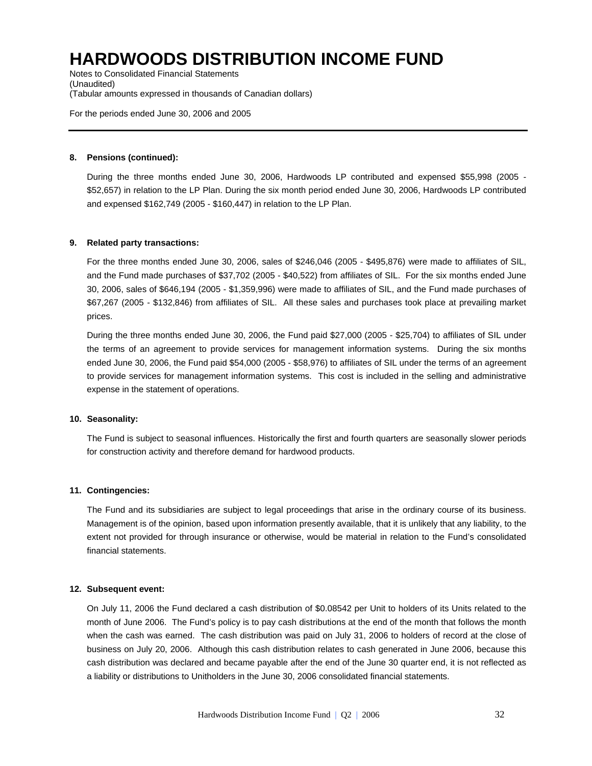Notes to Consolidated Financial Statements (Unaudited) (Tabular amounts expressed in thousands of Canadian dollars)

For the periods ended June 30, 2006 and 2005

#### **8. Pensions (continued):**

During the three months ended June 30, 2006, Hardwoods LP contributed and expensed \$55,998 (2005 - \$52,657) in relation to the LP Plan. During the six month period ended June 30, 2006, Hardwoods LP contributed and expensed \$162,749 (2005 - \$160,447) in relation to the LP Plan.

#### **9. Related party transactions:**

For the three months ended June 30, 2006, sales of \$246,046 (2005 - \$495,876) were made to affiliates of SIL, and the Fund made purchases of \$37,702 (2005 - \$40,522) from affiliates of SIL. For the six months ended June 30, 2006, sales of \$646,194 (2005 - \$1,359,996) were made to affiliates of SIL, and the Fund made purchases of \$67,267 (2005 - \$132,846) from affiliates of SIL. All these sales and purchases took place at prevailing market prices.

During the three months ended June 30, 2006, the Fund paid \$27,000 (2005 - \$25,704) to affiliates of SIL under the terms of an agreement to provide services for management information systems. During the six months ended June 30, 2006, the Fund paid \$54,000 (2005 - \$58,976) to affiliates of SIL under the terms of an agreement to provide services for management information systems. This cost is included in the selling and administrative expense in the statement of operations.

#### **10. Seasonality:**

The Fund is subject to seasonal influences. Historically the first and fourth quarters are seasonally slower periods for construction activity and therefore demand for hardwood products.

#### **11. Contingencies:**

The Fund and its subsidiaries are subject to legal proceedings that arise in the ordinary course of its business. Management is of the opinion, based upon information presently available, that it is unlikely that any liability, to the extent not provided for through insurance or otherwise, would be material in relation to the Fund's consolidated financial statements.

#### **12. Subsequent event:**

On July 11, 2006 the Fund declared a cash distribution of \$0.08542 per Unit to holders of its Units related to the month of June 2006. The Fund's policy is to pay cash distributions at the end of the month that follows the month when the cash was earned. The cash distribution was paid on July 31, 2006 to holders of record at the close of business on July 20, 2006. Although this cash distribution relates to cash generated in June 2006, because this cash distribution was declared and became payable after the end of the June 30 quarter end, it is not reflected as a liability or distributions to Unitholders in the June 30, 2006 consolidated financial statements.